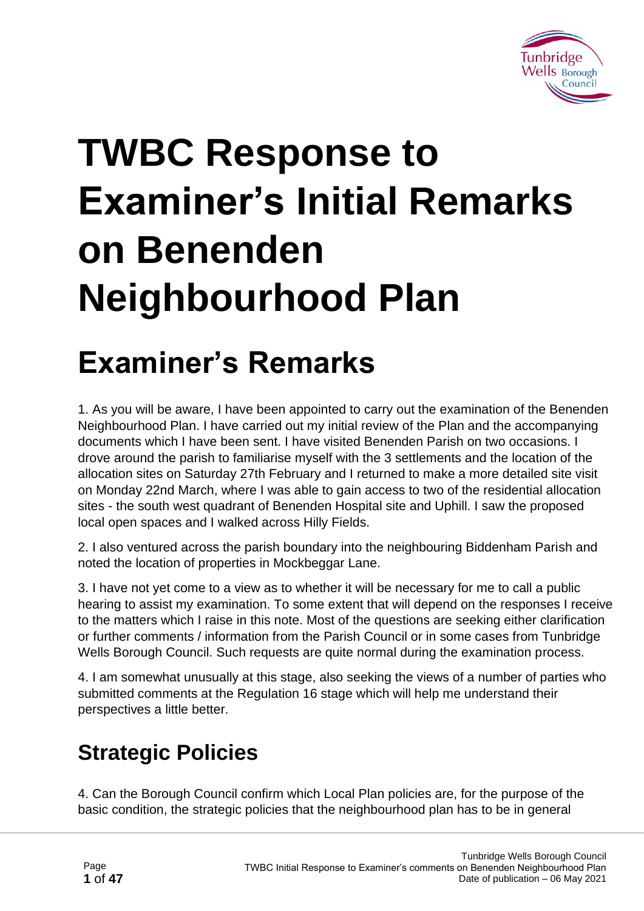

# **TWBC Response to Examiner's Initial Remarks on Benenden Neighbourhood Plan**

# **Examiner's Remarks**

1. As you will be aware, I have been appointed to carry out the examination of the Benenden Neighbourhood Plan. I have carried out my initial review of the Plan and the accompanying documents which I have been sent. I have visited Benenden Parish on two occasions. I drove around the parish to familiarise myself with the 3 settlements and the location of the allocation sites on Saturday 27th February and I returned to make a more detailed site visit on Monday 22nd March, where I was able to gain access to two of the residential allocation sites - the south west quadrant of Benenden Hospital site and Uphill. I saw the proposed local open spaces and I walked across Hilly Fields.

2. I also ventured across the parish boundary into the neighbouring Biddenham Parish and noted the location of properties in Mockbeggar Lane.

3. I have not yet come to a view as to whether it will be necessary for me to call a public hearing to assist my examination. To some extent that will depend on the responses I receive to the matters which I raise in this note. Most of the questions are seeking either clarification or further comments / information from the Parish Council or in some cases from Tunbridge Wells Borough Council. Such requests are quite normal during the examination process.

4. I am somewhat unusually at this stage, also seeking the views of a number of parties who submitted comments at the Regulation 16 stage which will help me understand their perspectives a little better.

# **Strategic Policies**

4. Can the Borough Council confirm which Local Plan policies are, for the purpose of the basic condition, the strategic policies that the neighbourhood plan has to be in general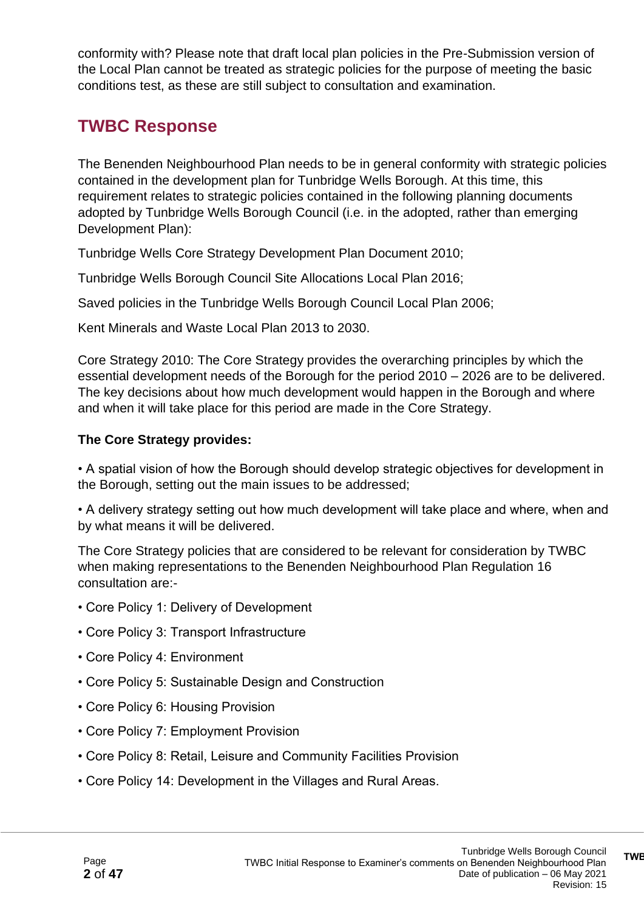conformity with? Please note that draft local plan policies in the Pre-Submission version of the Local Plan cannot be treated as strategic policies for the purpose of meeting the basic conditions test, as these are still subject to consultation and examination.

### **TWBC Response**

The Benenden Neighbourhood Plan needs to be in general conformity with strategic policies contained in the development plan for Tunbridge Wells Borough. At this time, this requirement relates to strategic policies contained in the following planning documents adopted by Tunbridge Wells Borough Council (i.e. in the adopted, rather than emerging Development Plan):

Tunbridge Wells Core Strategy Development Plan Document 2010;

Tunbridge Wells Borough Council Site Allocations Local Plan 2016;

Saved policies in the Tunbridge Wells Borough Council Local Plan 2006;

Kent Minerals and Waste Local Plan 2013 to 2030.

Core Strategy 2010: The Core Strategy provides the overarching principles by which the essential development needs of the Borough for the period 2010 – 2026 are to be delivered. The key decisions about how much development would happen in the Borough and where and when it will take place for this period are made in the Core Strategy.

#### **The Core Strategy provides:**

• A spatial vision of how the Borough should develop strategic objectives for development in the Borough, setting out the main issues to be addressed;

• A delivery strategy setting out how much development will take place and where, when and by what means it will be delivered.

The Core Strategy policies that are considered to be relevant for consideration by TWBC when making representations to the Benenden Neighbourhood Plan Regulation 16 consultation are:-

- Core Policy 1: Delivery of Development
- Core Policy 3: Transport Infrastructure
- Core Policy 4: Environment
- Core Policy 5: Sustainable Design and Construction
- Core Policy 6: Housing Provision
- Core Policy 7: Employment Provision
- Core Policy 8: Retail, Leisure and Community Facilities Provision
- Core Policy 14: Development in the Villages and Rural Areas.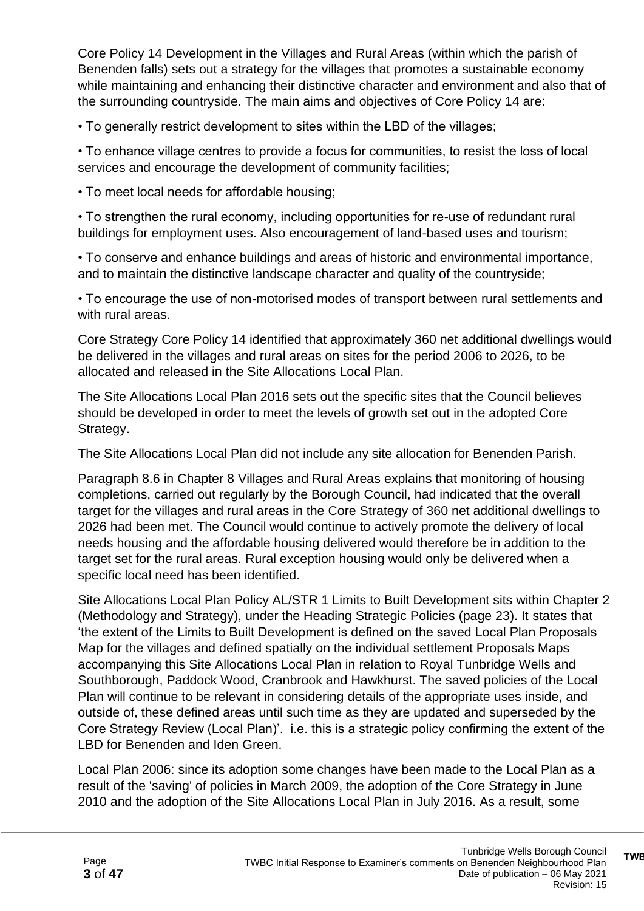Core Policy 14 Development in the Villages and Rural Areas (within which the parish of Benenden falls) sets out a strategy for the villages that promotes a sustainable economy while maintaining and enhancing their distinctive character and environment and also that of the surrounding countryside. The main aims and objectives of Core Policy 14 are:

• To generally restrict development to sites within the LBD of the villages;

• To enhance village centres to provide a focus for communities, to resist the loss of local services and encourage the development of community facilities;

• To meet local needs for affordable housing;

• To strengthen the rural economy, including opportunities for re-use of redundant rural buildings for employment uses. Also encouragement of land-based uses and tourism;

• To conserve and enhance buildings and areas of historic and environmental importance, and to maintain the distinctive landscape character and quality of the countryside;

• To encourage the use of non-motorised modes of transport between rural settlements and with rural areas.

Core Strategy Core Policy 14 identified that approximately 360 net additional dwellings would be delivered in the villages and rural areas on sites for the period 2006 to 2026, to be allocated and released in the Site Allocations Local Plan.

The Site Allocations Local Plan 2016 sets out the specific sites that the Council believes should be developed in order to meet the levels of growth set out in the adopted Core Strategy.

The Site Allocations Local Plan did not include any site allocation for Benenden Parish.

Paragraph 8.6 in Chapter 8 Villages and Rural Areas explains that monitoring of housing completions, carried out regularly by the Borough Council, had indicated that the overall target for the villages and rural areas in the Core Strategy of 360 net additional dwellings to 2026 had been met. The Council would continue to actively promote the delivery of local needs housing and the affordable housing delivered would therefore be in addition to the target set for the rural areas. Rural exception housing would only be delivered when a specific local need has been identified.

Site Allocations Local Plan Policy AL/STR 1 Limits to Built Development sits within Chapter 2 (Methodology and Strategy), under the Heading Strategic Policies (page 23). It states that 'the extent of the Limits to Built Development is defined on the saved Local Plan Proposals Map for the villages and defined spatially on the individual settlement Proposals Maps accompanying this Site Allocations Local Plan in relation to Royal Tunbridge Wells and Southborough, Paddock Wood, Cranbrook and Hawkhurst. The saved policies of the Local Plan will continue to be relevant in considering details of the appropriate uses inside, and outside of, these defined areas until such time as they are updated and superseded by the Core Strategy Review (Local Plan)'. i.e. this is a strategic policy confirming the extent of the LBD for Benenden and Iden Green.

Local Plan 2006: since its adoption some changes have been made to the Local Plan as a result of the 'saving' of policies in March 2009, the adoption of the Core Strategy in June 2010 and the adoption of the Site Allocations Local Plan in July 2016. As a result, some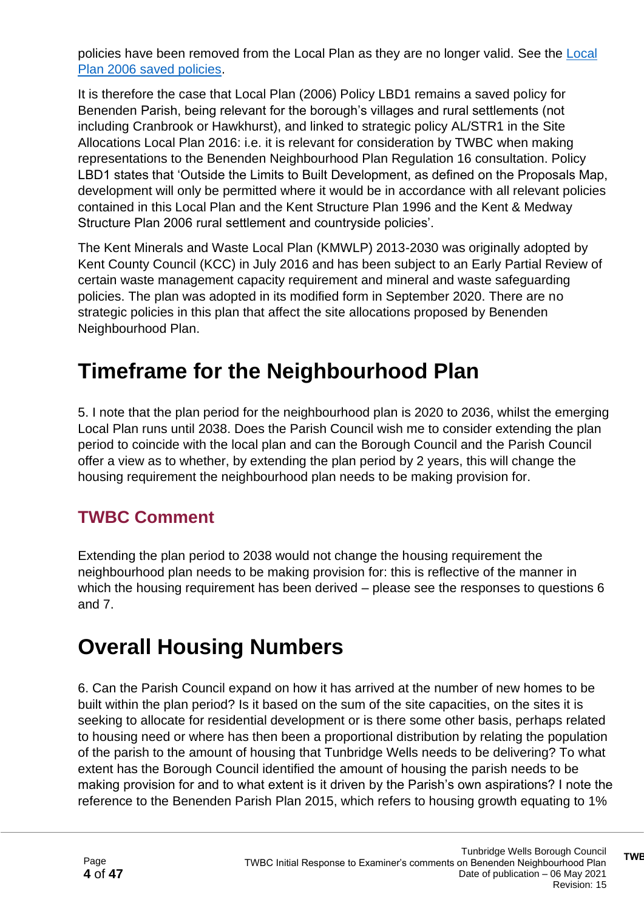policies have been removed from the Local Plan as they are no longer valid. See the [Local](https://www.tunbridgewells.gov.uk/__data/assets/pdf_file/0006/343347/Local-Plan-2006-Remaining-Saved-Policies-at-2016.pdf)  [Plan 2006 saved policies.](https://www.tunbridgewells.gov.uk/__data/assets/pdf_file/0006/343347/Local-Plan-2006-Remaining-Saved-Policies-at-2016.pdf)

It is therefore the case that Local Plan (2006) Policy LBD1 remains a saved policy for Benenden Parish, being relevant for the borough's villages and rural settlements (not including Cranbrook or Hawkhurst), and linked to strategic policy AL/STR1 in the Site Allocations Local Plan 2016: i.e. it is relevant for consideration by TWBC when making representations to the Benenden Neighbourhood Plan Regulation 16 consultation. Policy LBD1 states that 'Outside the Limits to Built Development, as defined on the Proposals Map, development will only be permitted where it would be in accordance with all relevant policies contained in this Local Plan and the Kent Structure Plan 1996 and the Kent & Medway Structure Plan 2006 rural settlement and countryside policies'.

The Kent Minerals and Waste Local Plan (KMWLP) 2013-2030 was originally adopted by Kent County Council (KCC) in July 2016 and has been subject to an Early Partial Review of certain waste management capacity requirement and mineral and waste safeguarding policies. The plan was adopted in its modified form in September 2020. There are no strategic policies in this plan that affect the site allocations proposed by Benenden Neighbourhood Plan.

## **Timeframe for the Neighbourhood Plan**

5. I note that the plan period for the neighbourhood plan is 2020 to 2036, whilst the emerging Local Plan runs until 2038. Does the Parish Council wish me to consider extending the plan period to coincide with the local plan and can the Borough Council and the Parish Council offer a view as to whether, by extending the plan period by 2 years, this will change the housing requirement the neighbourhood plan needs to be making provision for.

### **TWBC Comment**

Extending the plan period to 2038 would not change the housing requirement the neighbourhood plan needs to be making provision for: this is reflective of the manner in which the housing requirement has been derived – please see the responses to questions 6 and 7.

# **Overall Housing Numbers**

6. Can the Parish Council expand on how it has arrived at the number of new homes to be built within the plan period? Is it based on the sum of the site capacities, on the sites it is seeking to allocate for residential development or is there some other basis, perhaps related to housing need or where has then been a proportional distribution by relating the population of the parish to the amount of housing that Tunbridge Wells needs to be delivering? To what extent has the Borough Council identified the amount of housing the parish needs to be making provision for and to what extent is it driven by the Parish's own aspirations? I note the reference to the Benenden Parish Plan 2015, which refers to housing growth equating to 1%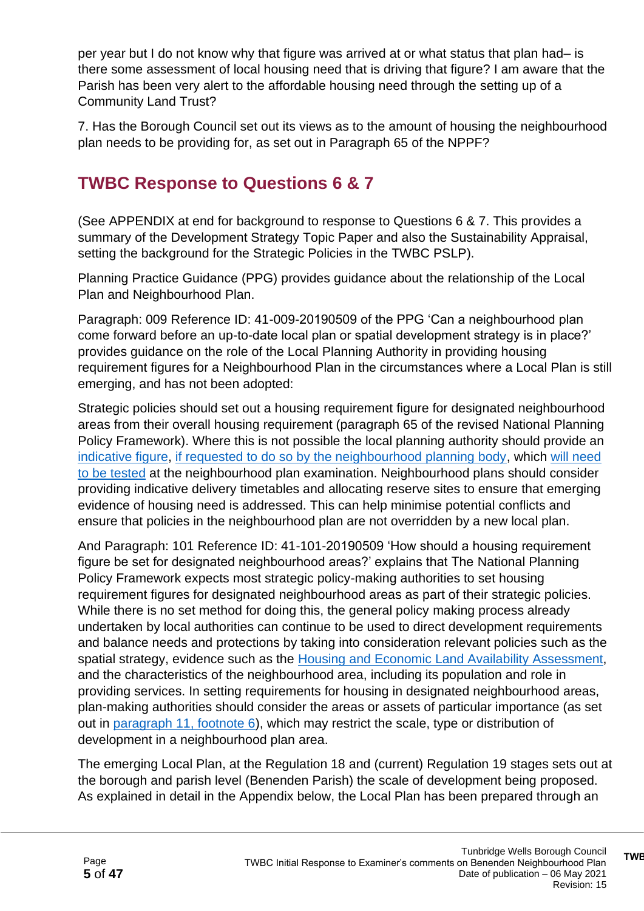per year but I do not know why that figure was arrived at or what status that plan had– is there some assessment of local housing need that is driving that figure? I am aware that the Parish has been very alert to the affordable housing need through the setting up of a Community Land Trust?

7. Has the Borough Council set out its views as to the amount of housing the neighbourhood plan needs to be providing for, as set out in Paragraph 65 of the NPPF?

### **TWBC Response to Questions 6 & 7**

(See APPENDIX at end for background to response to Questions 6 & 7. This provides a summary of the Development Strategy Topic Paper and also the Sustainability Appraisal, setting the background for the Strategic Policies in the TWBC PSLP).

Planning Practice Guidance (PPG) provides guidance about the relationship of the Local Plan and Neighbourhood Plan.

Paragraph: 009 Reference ID: 41-009-20190509 of the PPG 'Can a neighbourhood plan come forward before an up-to-date local plan or spatial development strategy is in place?' provides guidance on the role of the Local Planning Authority in providing housing requirement figures for a Neighbourhood Plan in the circumstances where a Local Plan is still emerging, and has not been adopted:

Strategic policies should set out a housing requirement figure for designated neighbourhood areas from their overall housing requirement (paragraph 65 of the revised National Planning Policy Framework). Where this is not possible the local planning authority should provide an [indicative figure,](https://www.gov.uk/guidance/neighbourhood-planning--2#para102) [if requested to do so by the neighbourhood planning body,](https://www.gov.uk/guidance/neighbourhood-planning--2#para103) which will [need](https://www.gov.uk/guidance/neighbourhood-planning--2#para104)  [to be tested](https://www.gov.uk/guidance/neighbourhood-planning--2#para104) at the neighbourhood plan examination. Neighbourhood plans should consider providing indicative delivery timetables and allocating reserve sites to ensure that emerging evidence of housing need is addressed. This can help minimise potential conflicts and ensure that policies in the neighbourhood plan are not overridden by a new local plan.

And Paragraph: 101 Reference ID: 41-101-20190509 'How should a housing requirement figure be set for designated neighbourhood areas?' explains that The National Planning Policy Framework expects most strategic policy-making authorities to set housing requirement figures for designated neighbourhood areas as part of their strategic policies. While there is no set method for doing this, the general policy making process already undertaken by local authorities can continue to be used to direct development requirements and balance needs and protections by taking into consideration relevant policies such as the spatial strategy, evidence such as the [Housing and Economic Land Availability Assessment,](https://www.gov.uk/guidance/housing-and-economic-land-availability-assessment) and the characteristics of the neighbourhood area, including its population and role in providing services. In setting requirements for housing in designated neighbourhood areas, plan-making authorities should consider the areas or assets of particular importance (as set out in [paragraph 11, footnote 6\)](https://www.gov.uk/guidance/national-planning-policy-framework/2-achieving-sustainable-development#para011), which may restrict the scale, type or distribution of development in a neighbourhood plan area.

The emerging Local Plan, at the Regulation 18 and (current) Regulation 19 stages sets out at the borough and parish level (Benenden Parish) the scale of development being proposed. As explained in detail in the Appendix below, the Local Plan has been prepared through an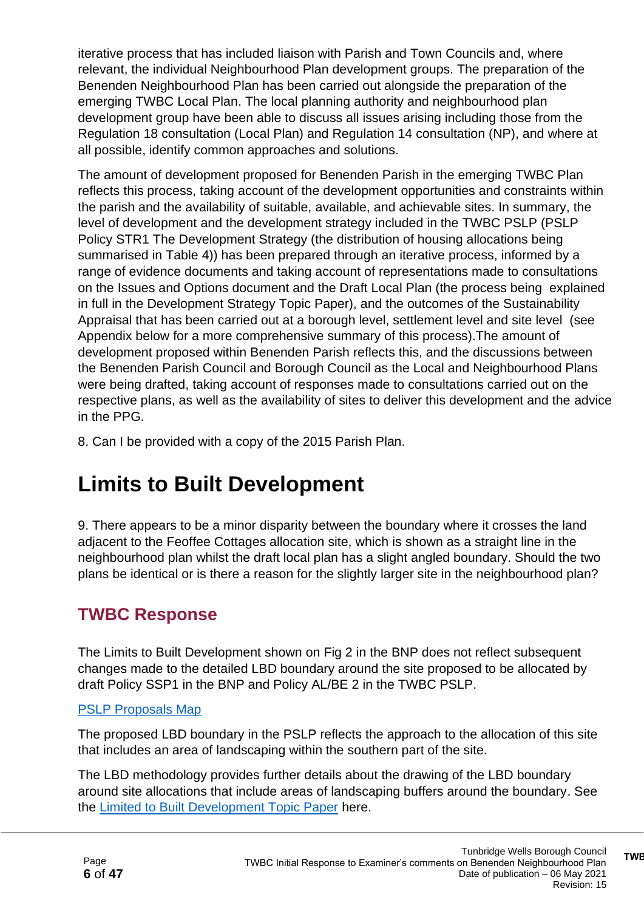iterative process that has included liaison with Parish and Town Councils and, where relevant, the individual Neighbourhood Plan development groups. The preparation of the Benenden Neighbourhood Plan has been carried out alongside the preparation of the emerging TWBC Local Plan. The local planning authority and neighbourhood plan development group have been able to discuss all issues arising including those from the Regulation 18 consultation (Local Plan) and Regulation 14 consultation (NP), and where at all possible, identify common approaches and solutions.

The amount of development proposed for Benenden Parish in the emerging TWBC Plan reflects this process, taking account of the development opportunities and constraints within the parish and the availability of suitable, available, and achievable sites. In summary, the level of development and the development strategy included in the TWBC PSLP (PSLP Policy STR1 The Development Strategy (the distribution of housing allocations being summarised in Table 4)) has been prepared through an iterative process, informed by a range of evidence documents and taking account of representations made to consultations on the Issues and Options document and the Draft Local Plan (the process being explained in full in the Development Strategy Topic Paper), and the outcomes of the Sustainability Appraisal that has been carried out at a borough level, settlement level and site level (see Appendix below for a more comprehensive summary of this process).The amount of development proposed within Benenden Parish reflects this, and the discussions between the Benenden Parish Council and Borough Council as the Local and Neighbourhood Plans were being drafted, taking account of responses made to consultations carried out on the respective plans, as well as the availability of sites to deliver this development and the advice in the PPG.

8. Can I be provided with a copy of the 2015 Parish Plan.

### **Limits to Built Development**

9. There appears to be a minor disparity between the boundary where it crosses the land adjacent to the Feoffee Cottages allocation site, which is shown as a straight line in the neighbourhood plan whilst the draft local plan has a slight angled boundary. Should the two plans be identical or is there a reason for the slightly larger site in the neighbourhood plan?

### **TWBC Response**

The Limits to Built Development shown on Fig 2 in the BNP does not reflect subsequent changes made to the detailed LBD boundary around the site proposed to be allocated by draft Policy SSP1 in the BNP and Policy AL/BE 2 in the TWBC PSLP.

#### [PSLP Proposals Map](https://tunbridgewells.gov.uk/__data/assets/pdf_file/0008/387962/Inset-Map-17-Benenden.pdf)

The proposed LBD boundary in the PSLP reflects the approach to the allocation of this site that includes an area of landscaping within the southern part of the site.

The LBD methodology provides further details about the drawing of the LBD boundary around site allocations that include areas of landscaping buffers around the boundary. See the [Limited to Built Development Topic Paper](https://tunbridgewells.gov.uk/__data/assets/pdf_file/0009/388098/Limits-to-Built-Development-Topic-Paper.pdf) here.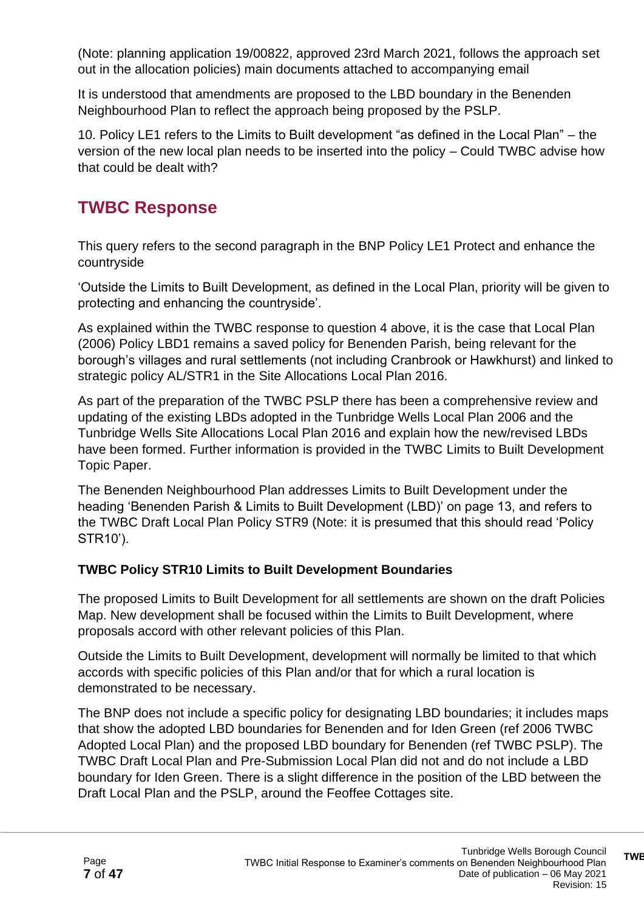(Note: planning application 19/00822, approved 23rd March 2021, follows the approach set out in the allocation policies) main documents attached to accompanying email

It is understood that amendments are proposed to the LBD boundary in the Benenden Neighbourhood Plan to reflect the approach being proposed by the PSLP.

10. Policy LE1 refers to the Limits to Built development "as defined in the Local Plan" – the version of the new local plan needs to be inserted into the policy – Could TWBC advise how that could be dealt with?

### **TWBC Response**

This query refers to the second paragraph in the BNP Policy LE1 Protect and enhance the countryside

'Outside the Limits to Built Development, as defined in the Local Plan, priority will be given to protecting and enhancing the countryside'.

As explained within the TWBC response to question 4 above, it is the case that Local Plan (2006) Policy LBD1 remains a saved policy for Benenden Parish, being relevant for the borough's villages and rural settlements (not including Cranbrook or Hawkhurst) and linked to strategic policy AL/STR1 in the Site Allocations Local Plan 2016.

As part of the preparation of the TWBC PSLP there has been a comprehensive review and updating of the existing LBDs adopted in the Tunbridge Wells Local Plan 2006 and the Tunbridge Wells Site Allocations Local Plan 2016 and explain how the new/revised LBDs have been formed. Further information is provided in the TWBC Limits to Built Development Topic Paper.

The Benenden Neighbourhood Plan addresses Limits to Built Development under the heading 'Benenden Parish & Limits to Built Development (LBD)' on page 13, and refers to the TWBC Draft Local Plan Policy STR9 (Note: it is presumed that this should read 'Policy STR10').

#### **TWBC Policy STR10 Limits to Built Development Boundaries**

The proposed Limits to Built Development for all settlements are shown on the draft Policies Map. New development shall be focused within the Limits to Built Development, where proposals accord with other relevant policies of this Plan.

Outside the Limits to Built Development, development will normally be limited to that which accords with specific policies of this Plan and/or that for which a rural location is demonstrated to be necessary.

The BNP does not include a specific policy for designating LBD boundaries; it includes maps that show the adopted LBD boundaries for Benenden and for Iden Green (ref 2006 TWBC Adopted Local Plan) and the proposed LBD boundary for Benenden (ref TWBC PSLP). The TWBC Draft Local Plan and Pre-Submission Local Plan did not and do not include a LBD boundary for Iden Green. There is a slight difference in the position of the LBD between the Draft Local Plan and the PSLP, around the Feoffee Cottages site.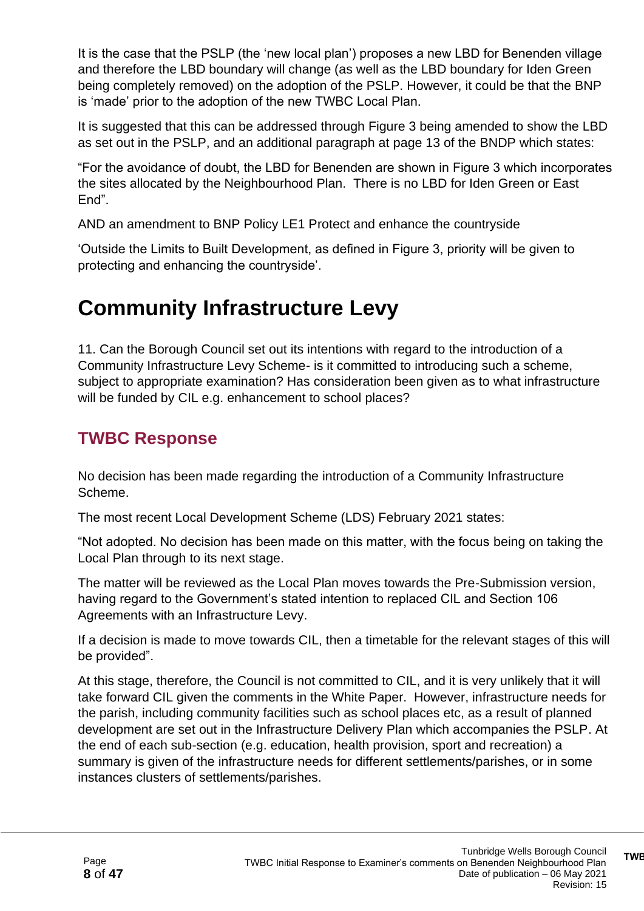It is the case that the PSLP (the 'new local plan') proposes a new LBD for Benenden village and therefore the LBD boundary will change (as well as the LBD boundary for Iden Green being completely removed) on the adoption of the PSLP. However, it could be that the BNP is 'made' prior to the adoption of the new TWBC Local Plan.

It is suggested that this can be addressed through Figure 3 being amended to show the LBD as set out in the PSLP, and an additional paragraph at page 13 of the BNDP which states:

"For the avoidance of doubt, the LBD for Benenden are shown in Figure 3 which incorporates the sites allocated by the Neighbourhood Plan. There is no LBD for Iden Green or East End".

AND an amendment to BNP Policy LE1 Protect and enhance the countryside

'Outside the Limits to Built Development, as defined in Figure 3, priority will be given to protecting and enhancing the countryside'.

# **Community Infrastructure Levy**

11. Can the Borough Council set out its intentions with regard to the introduction of a Community Infrastructure Levy Scheme- is it committed to introducing such a scheme, subject to appropriate examination? Has consideration been given as to what infrastructure will be funded by CIL e.g. enhancement to school places?

### **TWBC Response**

No decision has been made regarding the introduction of a Community Infrastructure Scheme.

The most recent Local Development Scheme (LDS) February 2021 states:

"Not adopted. No decision has been made on this matter, with the focus being on taking the Local Plan through to its next stage.

The matter will be reviewed as the Local Plan moves towards the Pre-Submission version, having regard to the Government's stated intention to replaced CIL and Section 106 Agreements with an Infrastructure Levy.

If a decision is made to move towards CIL, then a timetable for the relevant stages of this will be provided".

At this stage, therefore, the Council is not committed to CIL, and it is very unlikely that it will take forward CIL given the comments in the White Paper. However, infrastructure needs for the parish, including community facilities such as school places etc, as a result of planned development are set out in the Infrastructure Delivery Plan which accompanies the PSLP. At the end of each sub-section (e.g. education, health provision, sport and recreation) a summary is given of the infrastructure needs for different settlements/parishes, or in some instances clusters of settlements/parishes.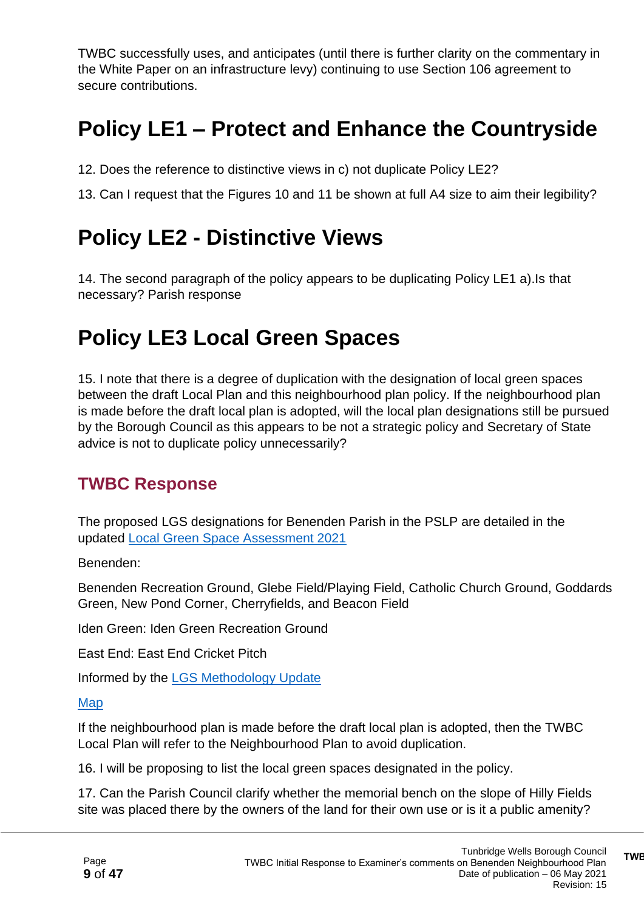TWBC successfully uses, and anticipates (until there is further clarity on the commentary in the White Paper on an infrastructure levy) continuing to use Section 106 agreement to secure contributions.

# **Policy LE1 – Protect and Enhance the Countryside**

12. Does the reference to distinctive views in c) not duplicate Policy LE2?

13. Can I request that the Figures 10 and 11 be shown at full A4 size to aim their legibility?

### **Policy LE2 - Distinctive Views**

14. The second paragraph of the policy appears to be duplicating Policy LE1 a).Is that necessary? Parish response

# **Policy LE3 Local Green Spaces**

15. I note that there is a degree of duplication with the designation of local green spaces between the draft Local Plan and this neighbourhood plan policy. If the neighbourhood plan is made before the draft local plan is adopted, will the local plan designations still be pursued by the Borough Council as this appears to be not a strategic policy and Secretary of State advice is not to duplicate policy unnecessarily?

### **TWBC Response**

The proposed LGS designations for Benenden Parish in the PSLP are detailed in the updated [Local Green Space Assessment 2021](https://tunbridgewells.gov.uk/__data/assets/pdf_file/0006/388041/Local-Green-Space-Assessment-update_2021.pdf)

Benenden:

Benenden Recreation Ground, Glebe Field/Playing Field, Catholic Church Ground, Goddards Green, New Pond Corner, Cherryfields, and Beacon Field

Iden Green: Iden Green Recreation Ground

East End: East End Cricket Pitch

Informed by the [LGS Methodology Update](https://tunbridgewells.gov.uk/__data/assets/pdf_file/0008/388043/Local-Green-Space-Designation-Methodology-update_2021.pdf)

#### [Map](https://tunbridgewells.maps.arcgis.com/apps/webappviewer/index.html?id=8f476c34007646ee8e92dc6a8eb29755)

If the neighbourhood plan is made before the draft local plan is adopted, then the TWBC Local Plan will refer to the Neighbourhood Plan to avoid duplication.

16. I will be proposing to list the local green spaces designated in the policy.

17. Can the Parish Council clarify whether the memorial bench on the slope of Hilly Fields site was placed there by the owners of the land for their own use or is it a public amenity?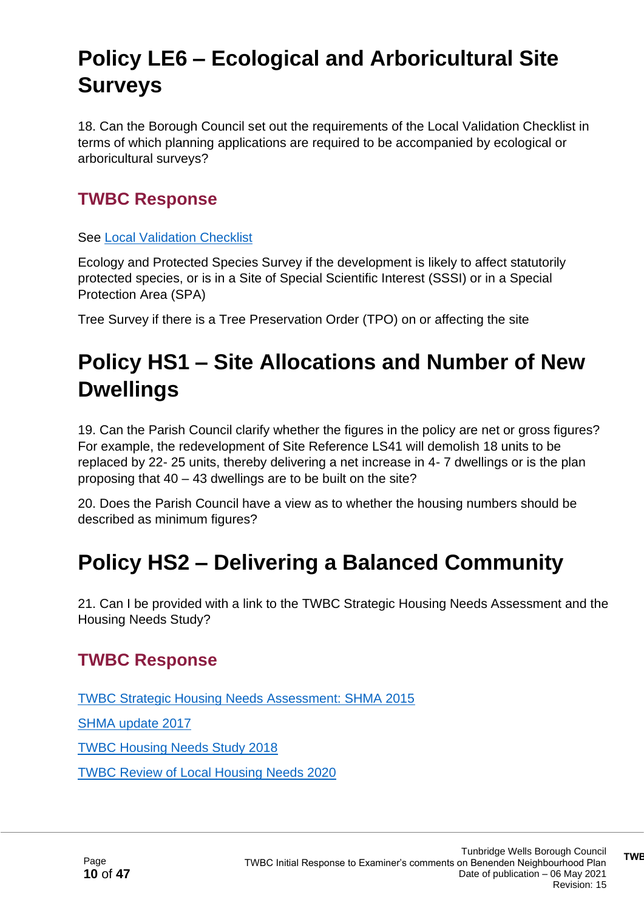# **Policy LE6 – Ecological and Arboricultural Site Surveys**

18. Can the Borough Council set out the requirements of the Local Validation Checklist in terms of which planning applications are required to be accompanied by ecological or arboricultural surveys?

### **TWBC Response**

See [Local Validation Checklist](https://tunbridgewells.gov.uk/planning/applications/apply/local-validation-checklist)

Ecology and Protected Species Survey if the development is likely to affect statutorily protected species, or is in a Site of Special Scientific Interest (SSSI) or in a Special Protection Area (SPA)

Tree Survey if there is a Tree Preservation Order (TPO) on or affecting the site

# **Policy HS1 – Site Allocations and Number of New Dwellings**

19. Can the Parish Council clarify whether the figures in the policy are net or gross figures? For example, the redevelopment of Site Reference LS41 will demolish 18 units to be replaced by 22- 25 units, thereby delivering a net increase in 4- 7 dwellings or is the plan proposing that 40 – 43 dwellings are to be built on the site?

20. Does the Parish Council have a view as to whether the housing numbers should be described as minimum figures?

# **Policy HS2 – Delivering a Balanced Community**

21. Can I be provided with a link to the TWBC Strategic Housing Needs Assessment and the Housing Needs Study?

### **TWBC Response**

[TWBC Strategic Housing Needs Assessment: SHMA 2015](https://tunbridgewells.gov.uk/__data/assets/pdf_file/0011/387524/a-SHMA-2015.pdf)

[SHMA update 2017](https://tunbridgewells.gov.uk/__data/assets/pdf_file/0004/387526/b-SHMA_2017_Update.pdf)

[TWBC Housing Needs Study 2018](https://tunbridgewells.gov.uk/__data/assets/pdf_file/0009/387522/Tunbridge_Wells_Housing_Needs_Study-2018.pdf)

[TWBC Review of Local Housing Needs 2020](https://tunbridgewells.gov.uk/__data/assets/pdf_file/0011/385319/Review-of-Local-Housing-Needs-Iceni,-December-2020.pdf)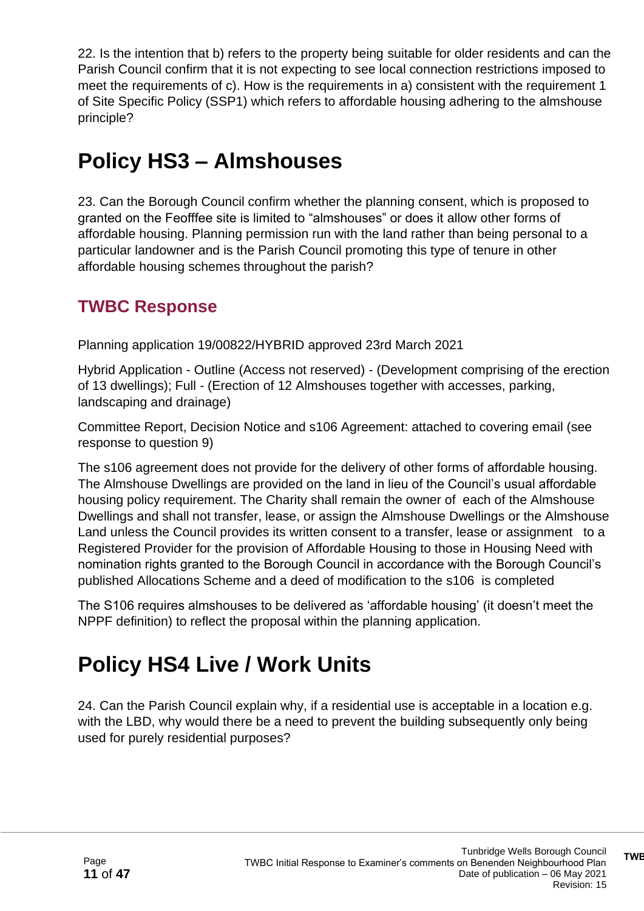22. Is the intention that b) refers to the property being suitable for older residents and can the Parish Council confirm that it is not expecting to see local connection restrictions imposed to meet the requirements of c). How is the requirements in a) consistent with the requirement 1 of Site Specific Policy (SSP1) which refers to affordable housing adhering to the almshouse principle?

# **Policy HS3 – Almshouses**

23. Can the Borough Council confirm whether the planning consent, which is proposed to granted on the Feofffee site is limited to "almshouses" or does it allow other forms of affordable housing. Planning permission run with the land rather than being personal to a particular landowner and is the Parish Council promoting this type of tenure in other affordable housing schemes throughout the parish?

### **TWBC Response**

Planning application 19/00822/HYBRID approved 23rd March 2021

Hybrid Application - Outline (Access not reserved) - (Development comprising of the erection of 13 dwellings); Full - (Erection of 12 Almshouses together with accesses, parking, landscaping and drainage)

Committee Report, Decision Notice and s106 Agreement: attached to covering email (see response to question 9)

The s106 agreement does not provide for the delivery of other forms of affordable housing. The Almshouse Dwellings are provided on the land in lieu of the Council's usual affordable housing policy requirement. The Charity shall remain the owner of each of the Almshouse Dwellings and shall not transfer, lease, or assign the Almshouse Dwellings or the Almshouse Land unless the Council provides its written consent to a transfer, lease or assignment to a Registered Provider for the provision of Affordable Housing to those in Housing Need with nomination rights granted to the Borough Council in accordance with the Borough Council's published Allocations Scheme and a deed of modification to the s106 is completed

The S106 requires almshouses to be delivered as 'affordable housing' (it doesn't meet the NPPF definition) to reflect the proposal within the planning application.

# **Policy HS4 Live / Work Units**

24. Can the Parish Council explain why, if a residential use is acceptable in a location e.g. with the LBD, why would there be a need to prevent the building subsequently only being used for purely residential purposes?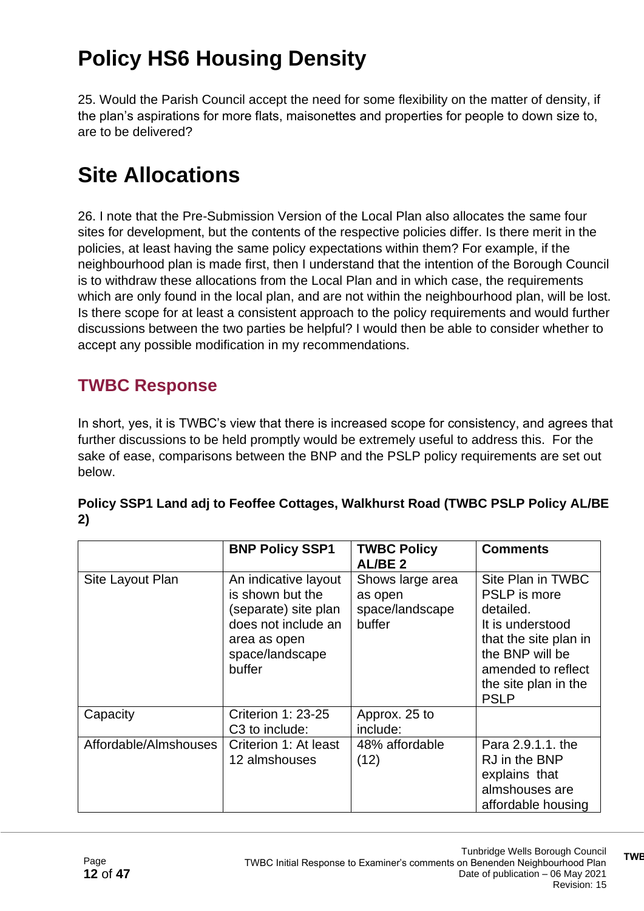# **Policy HS6 Housing Density**

25. Would the Parish Council accept the need for some flexibility on the matter of density, if the plan's aspirations for more flats, maisonettes and properties for people to down size to, are to be delivered?

# **Site Allocations**

26. I note that the Pre-Submission Version of the Local Plan also allocates the same four sites for development, but the contents of the respective policies differ. Is there merit in the policies, at least having the same policy expectations within them? For example, if the neighbourhood plan is made first, then I understand that the intention of the Borough Council is to withdraw these allocations from the Local Plan and in which case, the requirements which are only found in the local plan, and are not within the neighbourhood plan, will be lost. Is there scope for at least a consistent approach to the policy requirements and would further discussions between the two parties be helpful? I would then be able to consider whether to accept any possible modification in my recommendations.

### **TWBC Response**

In short, yes, it is TWBC's view that there is increased scope for consistency, and agrees that further discussions to be held promptly would be extremely useful to address this. For the sake of ease, comparisons between the BNP and the PSLP policy requirements are set out below.

|                       | <b>BNP Policy SSP1</b>                                                                                                               | <b>TWBC Policy</b><br>AL/BE <sub>2</sub>                 | <b>Comments</b>                                                                                                                                                                    |
|-----------------------|--------------------------------------------------------------------------------------------------------------------------------------|----------------------------------------------------------|------------------------------------------------------------------------------------------------------------------------------------------------------------------------------------|
| Site Layout Plan      | An indicative layout<br>is shown but the<br>(separate) site plan<br>does not include an<br>area as open<br>space/landscape<br>buffer | Shows large area<br>as open<br>space/landscape<br>buffer | Site Plan in TWBC<br><b>PSLP</b> is more<br>detailed.<br>It is understood<br>that the site plan in<br>the BNP will be<br>amended to reflect<br>the site plan in the<br><b>PSLP</b> |
| Capacity              | <b>Criterion 1: 23-25</b><br>C <sub>3</sub> to include:                                                                              | Approx. 25 to<br>include:                                |                                                                                                                                                                                    |
| Affordable/Almshouses | Criterion 1: At least<br>12 almshouses                                                                                               | 48% affordable<br>(12)                                   | Para 2.9.1.1, the<br>RJ in the BNP<br>explains that<br>almshouses are<br>affordable housing                                                                                        |

| Policy SSP1 Land adj to Feoffee Cottages, Walkhurst Road (TWBC PSLP Policy AL/BE |  |
|----------------------------------------------------------------------------------|--|
| 2)                                                                               |  |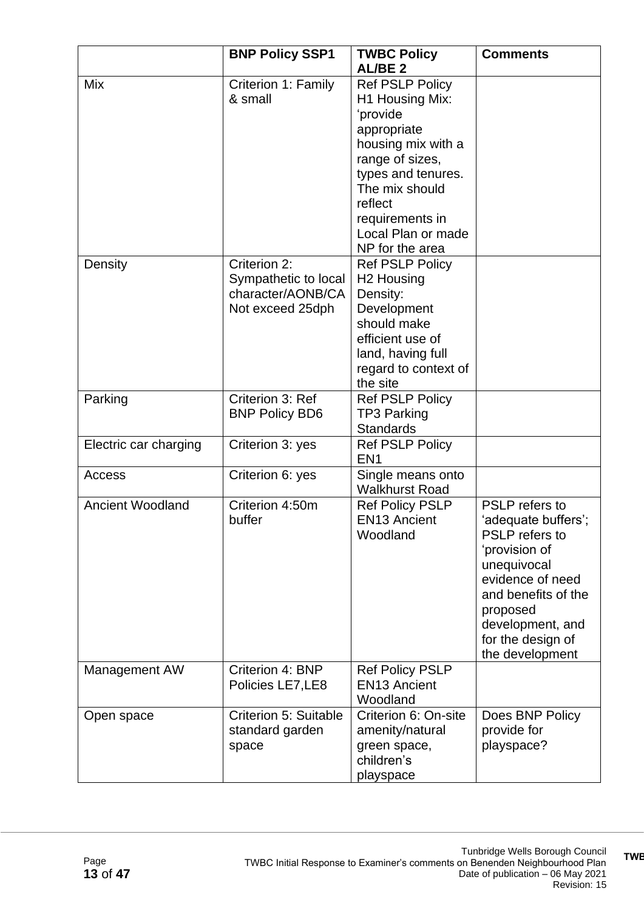|                         | <b>BNP Policy SSP1</b>                                                        | <b>TWBC Policy</b><br>AL/BE <sub>2</sub>                                                                                                                                                                                     | <b>Comments</b>                                                                                                                                                                                                   |
|-------------------------|-------------------------------------------------------------------------------|------------------------------------------------------------------------------------------------------------------------------------------------------------------------------------------------------------------------------|-------------------------------------------------------------------------------------------------------------------------------------------------------------------------------------------------------------------|
| Mix                     | Criterion 1: Family<br>& small                                                | <b>Ref PSLP Policy</b><br>H1 Housing Mix:<br>'provide<br>appropriate<br>housing mix with a<br>range of sizes,<br>types and tenures.<br>The mix should<br>reflect<br>requirements in<br>Local Plan or made<br>NP for the area |                                                                                                                                                                                                                   |
| Density                 | Criterion 2:<br>Sympathetic to local<br>character/AONB/CA<br>Not exceed 25dph | <b>Ref PSLP Policy</b><br>H <sub>2</sub> Housing<br>Density:<br>Development<br>should make<br>efficient use of<br>land, having full<br>regard to context of<br>the site                                                      |                                                                                                                                                                                                                   |
| Parking                 | Criterion 3: Ref<br><b>BNP Policy BD6</b>                                     | <b>Ref PSLP Policy</b><br><b>TP3 Parking</b><br><b>Standards</b>                                                                                                                                                             |                                                                                                                                                                                                                   |
| Electric car charging   | Criterion 3: yes                                                              | <b>Ref PSLP Policy</b><br>EN <sub>1</sub>                                                                                                                                                                                    |                                                                                                                                                                                                                   |
| Access                  | Criterion 6: yes                                                              | Single means onto<br><b>Walkhurst Road</b>                                                                                                                                                                                   |                                                                                                                                                                                                                   |
| <b>Ancient Woodland</b> | Criterion 4:50m<br>buffer                                                     | <b>Ref Policy PSLP</b><br><b>EN13 Ancient</b><br>Woodland                                                                                                                                                                    | PSLP refers to<br>'adequate buffers';<br><b>PSLP</b> refers to<br>'provision of<br>unequivocal<br>evidence of need<br>and benefits of the<br>proposed<br>development, and<br>for the design of<br>the development |
| Management AW           | Criterion 4: BNP<br>Policies LE7, LE8                                         | <b>Ref Policy PSLP</b><br><b>EN13 Ancient</b><br>Woodland                                                                                                                                                                    |                                                                                                                                                                                                                   |
| Open space              | Criterion 5: Suitable<br>standard garden<br>space                             | Criterion 6: On-site<br>amenity/natural<br>green space,<br>children's<br>playspace                                                                                                                                           | Does BNP Policy<br>provide for<br>playspace?                                                                                                                                                                      |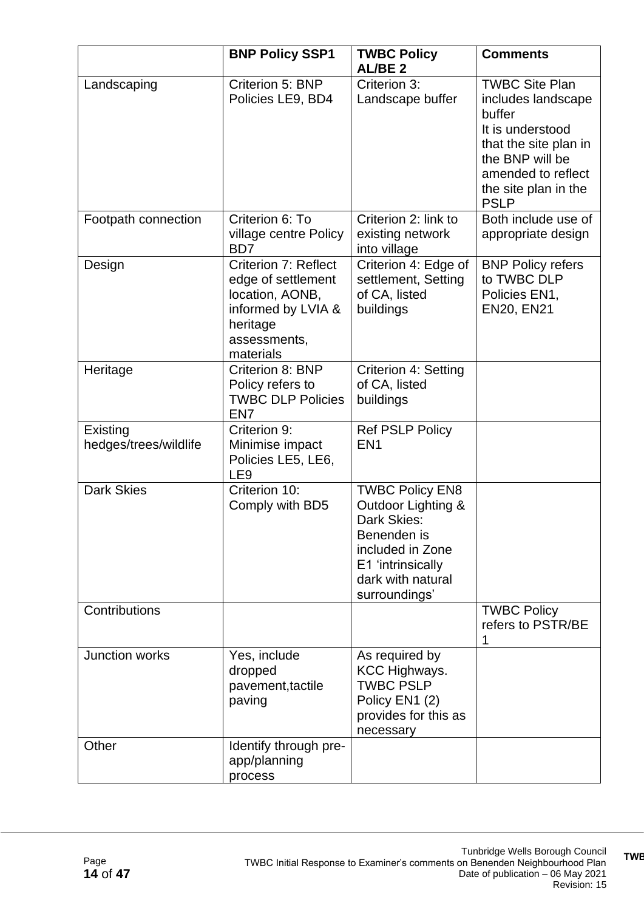|                                   | <b>BNP Policy SSP1</b>                                                                                                       | <b>TWBC Policy</b><br><b>AL/BE2</b>                                                                                                                       | <b>Comments</b>                                                                                                                                                                    |
|-----------------------------------|------------------------------------------------------------------------------------------------------------------------------|-----------------------------------------------------------------------------------------------------------------------------------------------------------|------------------------------------------------------------------------------------------------------------------------------------------------------------------------------------|
| Landscaping                       | Criterion 5: BNP<br>Policies LE9, BD4                                                                                        | Criterion 3:<br>Landscape buffer                                                                                                                          | <b>TWBC Site Plan</b><br>includes landscape<br>buffer<br>It is understood<br>that the site plan in<br>the BNP will be<br>amended to reflect<br>the site plan in the<br><b>PSLP</b> |
| Footpath connection               | Criterion 6: To<br>village centre Policy<br>B <sub>D</sub>                                                                   | Criterion 2: link to<br>existing network<br>into village                                                                                                  | Both include use of<br>appropriate design                                                                                                                                          |
| Design                            | Criterion 7: Reflect<br>edge of settlement<br>location, AONB,<br>informed by LVIA &<br>heritage<br>assessments,<br>materials | Criterion 4: Edge of<br>settlement, Setting<br>of CA, listed<br>buildings                                                                                 | <b>BNP Policy refers</b><br>to TWBC DLP<br>Policies EN1,<br><b>EN20, EN21</b>                                                                                                      |
| Heritage                          | Criterion 8: BNP<br>Policy refers to<br><b>TWBC DLP Policies</b><br>EN <sub>7</sub>                                          | Criterion 4: Setting<br>of CA, listed<br>buildings                                                                                                        |                                                                                                                                                                                    |
| Existing<br>hedges/trees/wildlife | Criterion 9:<br>Minimise impact<br>Policies LE5, LE6,<br>LE <sub>9</sub>                                                     | <b>Ref PSLP Policy</b><br>EN <sub>1</sub>                                                                                                                 |                                                                                                                                                                                    |
| <b>Dark Skies</b>                 | Criterion 10:<br>Comply with BD5                                                                                             | <b>TWBC Policy EN8</b><br>Outdoor Lighting &<br>Dark Skies:<br>Benenden is<br>included in Zone<br>E1 'intrinsically<br>dark with natural<br>surroundings' |                                                                                                                                                                                    |
| Contributions                     |                                                                                                                              |                                                                                                                                                           | <b>TWBC Policy</b><br>refers to PSTR/BE<br>1                                                                                                                                       |
| Junction works                    | Yes, include<br>dropped<br>pavement, tactile<br>paving                                                                       | As required by<br><b>KCC Highways.</b><br><b>TWBC PSLP</b><br>Policy EN1 (2)<br>provides for this as<br>necessary                                         |                                                                                                                                                                                    |
| Other                             | Identify through pre-<br>app/planning<br>process                                                                             |                                                                                                                                                           |                                                                                                                                                                                    |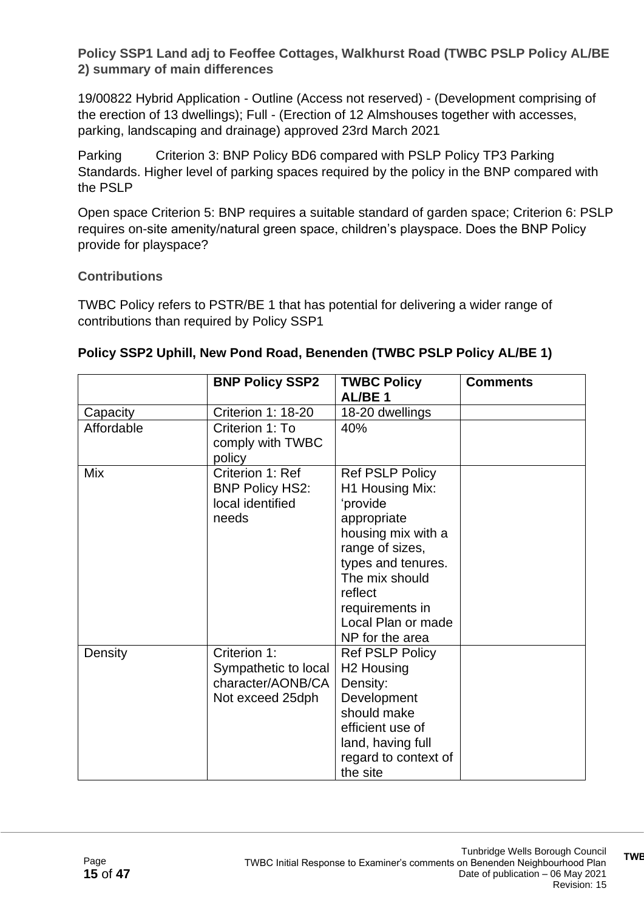**Policy SSP1 Land adj to Feoffee Cottages, Walkhurst Road (TWBC PSLP Policy AL/BE 2) summary of main differences**

19/00822 Hybrid Application - Outline (Access not reserved) - (Development comprising of the erection of 13 dwellings); Full - (Erection of 12 Almshouses together with accesses, parking, landscaping and drainage) approved 23rd March 2021

Parking Criterion 3: BNP Policy BD6 compared with PSLP Policy TP3 Parking Standards. Higher level of parking spaces required by the policy in the BNP compared with the PSLP

Open space Criterion 5: BNP requires a suitable standard of garden space; Criterion 6: PSLP requires on-site amenity/natural green space, children's playspace. Does the BNP Policy provide for playspace?

#### **Contributions**

TWBC Policy refers to PSTR/BE 1 that has potential for delivering a wider range of contributions than required by Policy SSP1

|            | <b>BNP Policy SSP2</b>                                                        | <b>TWBC Policy</b><br>AL/BE <sub>1</sub>                                                                                                                                                                                     | <b>Comments</b> |
|------------|-------------------------------------------------------------------------------|------------------------------------------------------------------------------------------------------------------------------------------------------------------------------------------------------------------------------|-----------------|
| Capacity   | Criterion 1: 18-20                                                            | 18-20 dwellings                                                                                                                                                                                                              |                 |
| Affordable | Criterion 1: To<br>comply with TWBC<br>policy                                 | 40%                                                                                                                                                                                                                          |                 |
| <b>Mix</b> | Criterion 1: Ref<br><b>BNP Policy HS2:</b><br>local identified<br>needs       | <b>Ref PSLP Policy</b><br>H1 Housing Mix:<br>'provide<br>appropriate<br>housing mix with a<br>range of sizes,<br>types and tenures.<br>The mix should<br>reflect<br>requirements in<br>Local Plan or made<br>NP for the area |                 |
| Density    | Criterion 1:<br>Sympathetic to local<br>character/AONB/CA<br>Not exceed 25dph | <b>Ref PSLP Policy</b><br>H <sub>2</sub> Housing<br>Density:<br>Development<br>should make<br>efficient use of<br>land, having full<br>regard to context of<br>the site                                                      |                 |

#### **Policy SSP2 Uphill, New Pond Road, Benenden (TWBC PSLP Policy AL/BE 1)**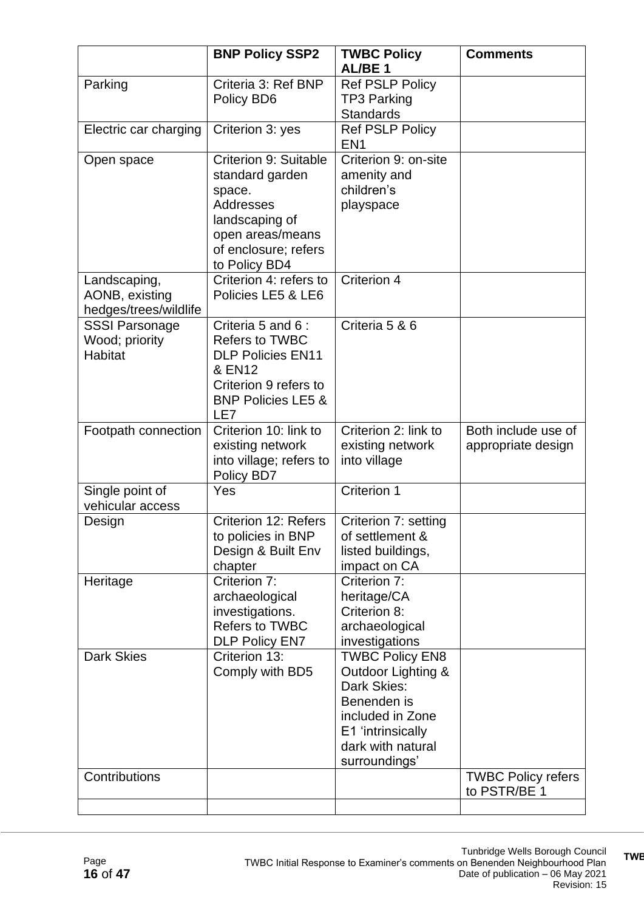|                                                           | <b>BNP Policy SSP2</b>                                                                                                                             | <b>TWBC Policy</b><br>AL/BE <sub>1</sub>                                                                                                                  | <b>Comments</b>                           |
|-----------------------------------------------------------|----------------------------------------------------------------------------------------------------------------------------------------------------|-----------------------------------------------------------------------------------------------------------------------------------------------------------|-------------------------------------------|
| Parking                                                   | Criteria 3: Ref BNP<br>Policy BD6                                                                                                                  | Ref PSLP Policy<br><b>TP3 Parking</b><br><b>Standards</b>                                                                                                 |                                           |
| Electric car charging                                     | Criterion 3: yes                                                                                                                                   | <b>Ref PSLP Policy</b><br>EN <sub>1</sub>                                                                                                                 |                                           |
| Open space                                                | Criterion 9: Suitable<br>standard garden<br>space.<br>Addresses<br>landscaping of<br>open areas/means<br>of enclosure; refers<br>to Policy BD4     | Criterion 9: on-site<br>amenity and<br>children's<br>playspace                                                                                            |                                           |
| Landscaping,<br>AONB, existing<br>hedges/trees/wildlife   | Criterion 4: refers to<br>Policies LE5 & LE6                                                                                                       | Criterion 4                                                                                                                                               |                                           |
| <b>SSSI Parsonage</b><br>Wood; priority<br><b>Habitat</b> | Criteria 5 and 6 :<br><b>Refers to TWBC</b><br><b>DLP Policies EN11</b><br>& EN12<br>Criterion 9 refers to<br><b>BNP Policies LE5 &amp;</b><br>LE7 | Criteria 5 & 6                                                                                                                                            |                                           |
| Footpath connection                                       | Criterion 10: link to<br>existing network<br>into village; refers to<br>Policy BD7                                                                 | Criterion 2: link to<br>existing network<br>into village                                                                                                  | Both include use of<br>appropriate design |
| Single point of<br>vehicular access                       | Yes                                                                                                                                                | Criterion 1                                                                                                                                               |                                           |
| Design                                                    | Criterion 12: Refers<br>to policies in BNP<br>Design & Built Env<br>chapter                                                                        | Criterion 7: setting<br>of settlement &<br>listed buildings,<br>impact on CA                                                                              |                                           |
| Heritage                                                  | Criterion 7:<br>archaeological<br>investigations.<br><b>Refers to TWBC</b><br><b>DLP Policy EN7</b>                                                | Criterion 7:<br>heritage/CA<br>Criterion 8:<br>archaeological<br>investigations                                                                           |                                           |
| <b>Dark Skies</b>                                         | Criterion 13:<br>Comply with BD5                                                                                                                   | <b>TWBC Policy EN8</b><br>Outdoor Lighting &<br>Dark Skies:<br>Benenden is<br>included in Zone<br>E1 'intrinsically<br>dark with natural<br>surroundings' |                                           |
| Contributions                                             |                                                                                                                                                    |                                                                                                                                                           | <b>TWBC Policy refers</b><br>to PSTR/BE 1 |

**TWBC Initial Response to Examiner's comments on Benenden Neighbourhood**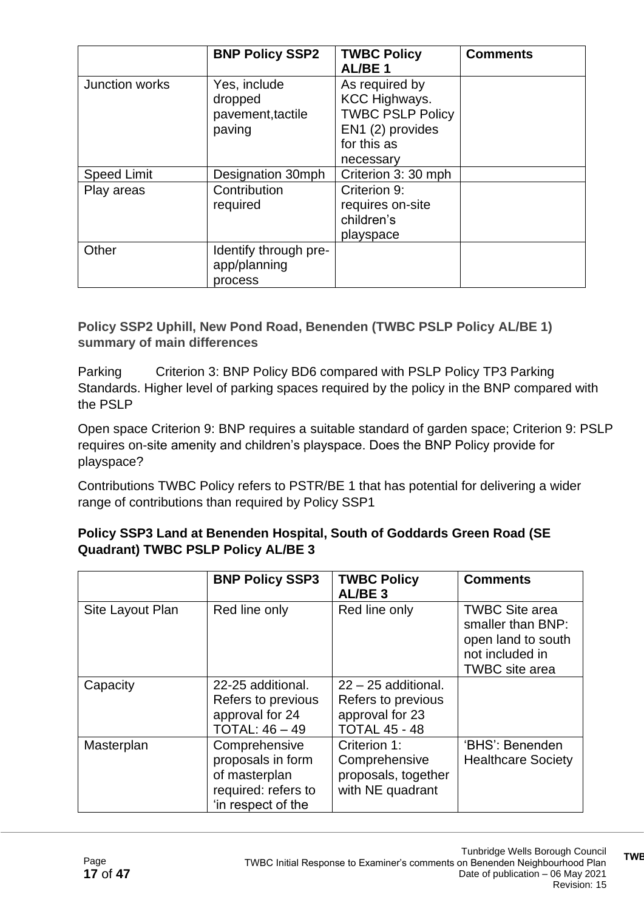|                    | <b>BNP Policy SSP2</b>                                 | <b>TWBC Policy</b><br><b>AL/BE1</b>                                                                               | <b>Comments</b> |
|--------------------|--------------------------------------------------------|-------------------------------------------------------------------------------------------------------------------|-----------------|
| Junction works     | Yes, include<br>dropped<br>pavement, tactile<br>paving | As required by<br><b>KCC Highways.</b><br><b>TWBC PSLP Policy</b><br>EN1 (2) provides<br>for this as<br>necessary |                 |
| <b>Speed Limit</b> | Designation 30mph                                      | Criterion 3: 30 mph                                                                                               |                 |
| Play areas         | Contribution<br>required                               | Criterion 9:<br>requires on-site<br>children's<br>playspace                                                       |                 |
| Other              | Identify through pre-<br>app/planning<br>process       |                                                                                                                   |                 |

**Policy SSP2 Uphill, New Pond Road, Benenden (TWBC PSLP Policy AL/BE 1) summary of main differences**

Parking Criterion 3: BNP Policy BD6 compared with PSLP Policy TP3 Parking Standards. Higher level of parking spaces required by the policy in the BNP compared with the PSLP

Open space Criterion 9: BNP requires a suitable standard of garden space; Criterion 9: PSLP requires on-site amenity and children's playspace. Does the BNP Policy provide for playspace?

Contributions TWBC Policy refers to PSTR/BE 1 that has potential for delivering a wider range of contributions than required by Policy SSP1

#### **Policy SSP3 Land at Benenden Hospital, South of Goddards Green Road (SE Quadrant) TWBC PSLP Policy AL/BE 3**

|                  | <b>BNP Policy SSP3</b>                                                                           | <b>TWBC Policy</b><br>AL/BE <sub>3</sub>                                               | <b>Comments</b>                                                                                              |
|------------------|--------------------------------------------------------------------------------------------------|----------------------------------------------------------------------------------------|--------------------------------------------------------------------------------------------------------------|
| Site Layout Plan | Red line only                                                                                    | Red line only                                                                          | <b>TWBC Site area</b><br>smaller than BNP:<br>open land to south<br>not included in<br><b>TWBC</b> site area |
| Capacity         | 22-25 additional.<br>Refers to previous<br>approval for 24<br>TOTAL: $46 - 49$                   | $22 - 25$ additional.<br>Refers to previous<br>approval for 23<br><b>TOTAL 45 - 48</b> |                                                                                                              |
| Masterplan       | Comprehensive<br>proposals in form<br>of masterplan<br>required: refers to<br>'in respect of the | Criterion 1:<br>Comprehensive<br>proposals, together<br>with NE quadrant               | 'BHS': Benenden<br><b>Healthcare Society</b>                                                                 |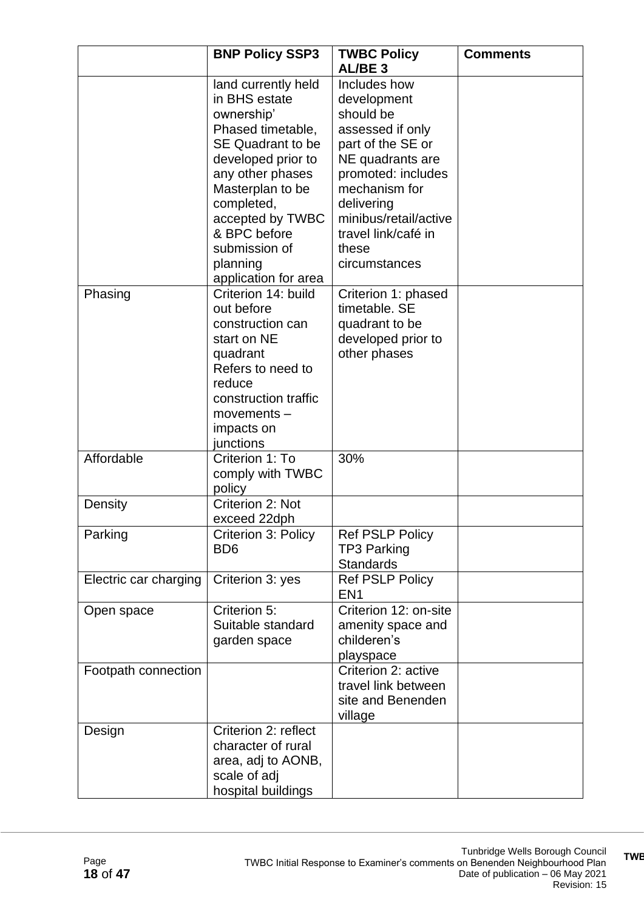|                       | <b>BNP Policy SSP3</b>                                                                                                                                                                                                                                                   | <b>TWBC Policy</b>                                                                                                                                                                                                                   | <b>Comments</b> |
|-----------------------|--------------------------------------------------------------------------------------------------------------------------------------------------------------------------------------------------------------------------------------------------------------------------|--------------------------------------------------------------------------------------------------------------------------------------------------------------------------------------------------------------------------------------|-----------------|
|                       |                                                                                                                                                                                                                                                                          | AL/BE <sub>3</sub>                                                                                                                                                                                                                   |                 |
|                       | land currently held<br>in BHS estate<br>ownership'<br>Phased timetable,<br><b>SE Quadrant to be</b><br>developed prior to<br>any other phases<br>Masterplan to be<br>completed,<br>accepted by TWBC<br>& BPC before<br>submission of<br>planning<br>application for area | Includes how<br>development<br>should be<br>assessed if only<br>part of the SE or<br>NE quadrants are<br>promoted: includes<br>mechanism for<br>delivering<br>minibus/retail/active<br>travel link/café in<br>these<br>circumstances |                 |
| Phasing               | Criterion 14: build<br>out before<br>construction can<br>start on NE<br>quadrant<br>Refers to need to<br>reduce<br>construction traffic<br>$moverents -$<br>impacts on<br>junctions                                                                                      | Criterion 1: phased<br>timetable, SE<br>quadrant to be<br>developed prior to<br>other phases                                                                                                                                         |                 |
| Affordable            | Criterion 1: To<br>comply with TWBC<br>policy                                                                                                                                                                                                                            | 30%                                                                                                                                                                                                                                  |                 |
| Density               | Criterion 2: Not<br>exceed 22dph                                                                                                                                                                                                                                         |                                                                                                                                                                                                                                      |                 |
| Parking               | Criterion 3: Policy<br>B <sub>D6</sub>                                                                                                                                                                                                                                   | <b>Ref PSLP Policy</b><br><b>TP3 Parking</b><br><b>Standards</b>                                                                                                                                                                     |                 |
| Electric car charging | Criterion 3: yes                                                                                                                                                                                                                                                         | <b>Ref PSLP Policy</b><br>EN <sub>1</sub>                                                                                                                                                                                            |                 |
| Open space            | Criterion 5:<br>Suitable standard<br>garden space                                                                                                                                                                                                                        | Criterion 12: on-site<br>amenity space and<br>childeren's<br>playspace                                                                                                                                                               |                 |
| Footpath connection   |                                                                                                                                                                                                                                                                          | Criterion 2: active<br>travel link between<br>site and Benenden<br>village                                                                                                                                                           |                 |
| Design                | Criterion 2: reflect<br>character of rural<br>area, adj to AONB,<br>scale of adj<br>hospital buildings                                                                                                                                                                   |                                                                                                                                                                                                                                      |                 |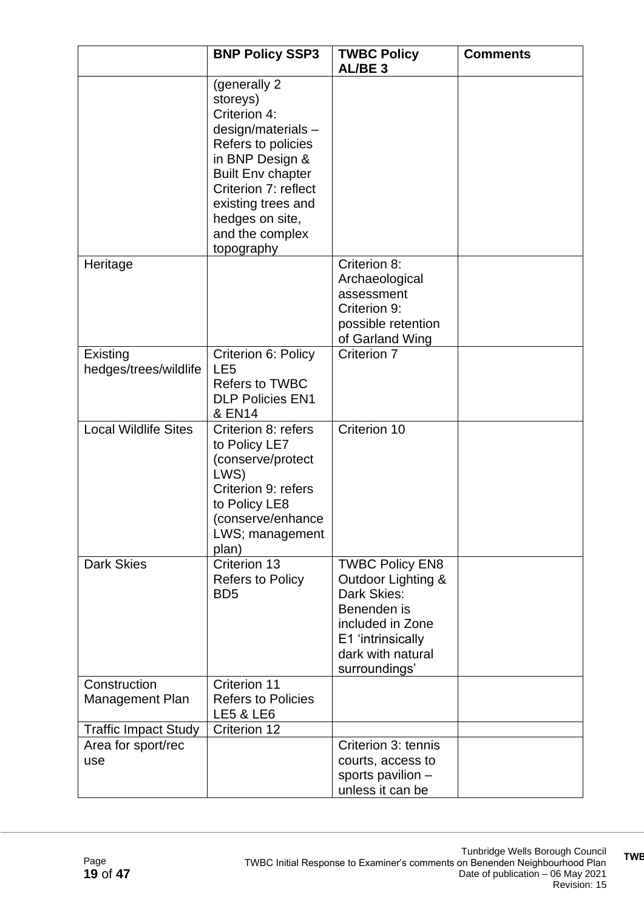|                                        | <b>BNP Policy SSP3</b>                                                                                                                                                                                                                   | <b>TWBC Policy</b><br>AL/BE <sub>3</sub>                                                                                                                  | <b>Comments</b> |
|----------------------------------------|------------------------------------------------------------------------------------------------------------------------------------------------------------------------------------------------------------------------------------------|-----------------------------------------------------------------------------------------------------------------------------------------------------------|-----------------|
|                                        | (generally 2)<br>storeys)<br>Criterion 4:<br>$design/materials -$<br>Refers to policies<br>in BNP Design &<br><b>Built Env chapter</b><br>Criterion 7: reflect<br>existing trees and<br>hedges on site,<br>and the complex<br>topography |                                                                                                                                                           |                 |
| Heritage                               |                                                                                                                                                                                                                                          | Criterion 8:<br>Archaeological<br>assessment<br>Criterion 9:<br>possible retention<br>of Garland Wing                                                     |                 |
| Existing<br>hedges/trees/wildlife      | Criterion 6: Policy<br>LE <sub>5</sub><br>Refers to TWBC<br><b>DLP Policies EN1</b><br>& EN14                                                                                                                                            | Criterion 7                                                                                                                                               |                 |
| <b>Local Wildlife Sites</b>            | Criterion 8: refers<br>to Policy LE7<br>(conserve/protect<br>LWS)<br>Criterion 9: refers<br>to Policy LE8<br>(conserve/enhance<br>LWS; management<br>plan)                                                                               | Criterion 10                                                                                                                                              |                 |
| <b>Dark Skies</b>                      | Criterion 13<br><b>Refers to Policy</b><br>B <sub>D5</sub>                                                                                                                                                                               | <b>TWBC Policy EN8</b><br>Outdoor Lighting &<br>Dark Skies:<br>Benenden is<br>included in Zone<br>E1 'intrinsically<br>dark with natural<br>surroundings' |                 |
| Construction<br><b>Management Plan</b> | Criterion 11<br><b>Refers to Policies</b><br><b>LE5 &amp; LE6</b>                                                                                                                                                                        |                                                                                                                                                           |                 |
| <b>Traffic Impact Study</b>            | Criterion 12                                                                                                                                                                                                                             |                                                                                                                                                           |                 |
| Area for sport/rec<br>use              |                                                                                                                                                                                                                                          | Criterion 3: tennis<br>courts, access to<br>sports pavilion -<br>unless it can be                                                                         |                 |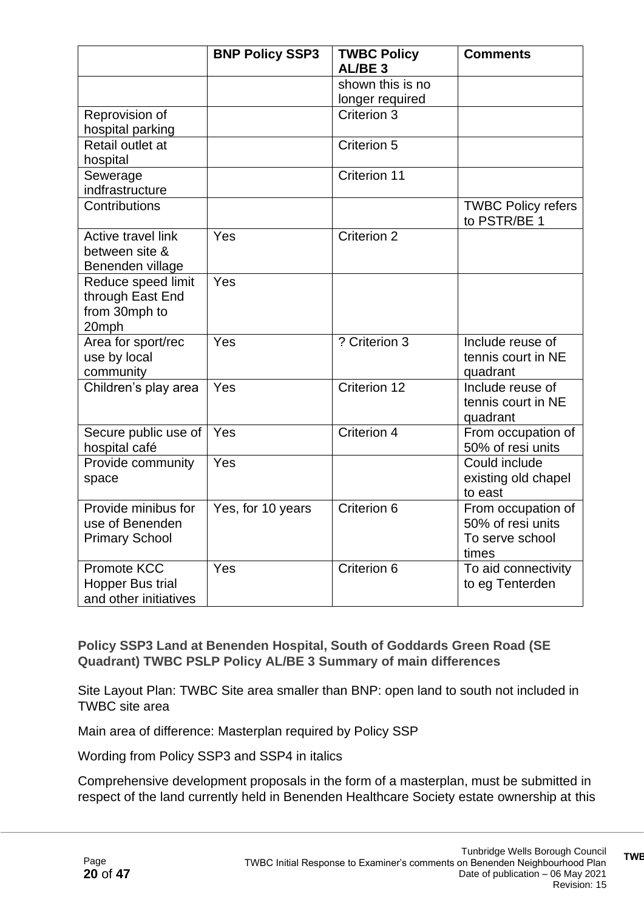|                                                                        | <b>BNP Policy SSP3</b> | <b>TWBC Policy</b><br>AL/BE <sub>3</sub> | <b>Comments</b>                                                     |
|------------------------------------------------------------------------|------------------------|------------------------------------------|---------------------------------------------------------------------|
|                                                                        |                        | shown this is no                         |                                                                     |
|                                                                        |                        | longer required                          |                                                                     |
| Reprovision of                                                         |                        | Criterion 3                              |                                                                     |
| hospital parking                                                       |                        |                                          |                                                                     |
| Retail outlet at                                                       |                        | Criterion 5                              |                                                                     |
| hospital                                                               |                        |                                          |                                                                     |
| Sewerage                                                               |                        | <b>Criterion 11</b>                      |                                                                     |
| indfrastructure                                                        |                        |                                          |                                                                     |
| Contributions                                                          |                        |                                          | <b>TWBC Policy refers</b><br>to PSTR/BE 1                           |
| Active travel link<br>between site &<br>Benenden village               | Yes                    | <b>Criterion 2</b>                       |                                                                     |
| Reduce speed limit<br>through East End<br>from 30mph to<br>20mph       | Yes                    |                                          |                                                                     |
| Area for sport/rec<br>use by local<br>community                        | Yes                    | ? Criterion 3                            | Include reuse of<br>tennis court in NE<br>quadrant                  |
| Children's play area                                                   | Yes                    | Criterion 12                             | Include reuse of<br>tennis court in NE<br>quadrant                  |
| Secure public use of<br>hospital café                                  | Yes                    | Criterion 4                              | From occupation of<br>50% of resi units                             |
| Provide community<br>space                                             | Yes                    |                                          | Could include<br>existing old chapel<br>to east                     |
| Provide minibus for<br>use of Benenden<br><b>Primary School</b>        | Yes, for 10 years      | Criterion 6                              | From occupation of<br>50% of resi units<br>To serve school<br>times |
| <b>Promote KCC</b><br><b>Hopper Bus trial</b><br>and other initiatives | Yes                    | Criterion 6                              | To aid connectivity<br>to eg Tenterden                              |

**Policy SSP3 Land at Benenden Hospital, South of Goddards Green Road (SE Quadrant) TWBC PSLP Policy AL/BE 3 Summary of main differences**

Site Layout Plan: TWBC Site area smaller than BNP: open land to south not included in TWBC site area

Main area of difference: Masterplan required by Policy SSP

Wording from Policy SSP3 and SSP4 in italics

Comprehensive development proposals in the form of a masterplan, must be submitted in respect of the land currently held in Benenden Healthcare Society estate ownership at this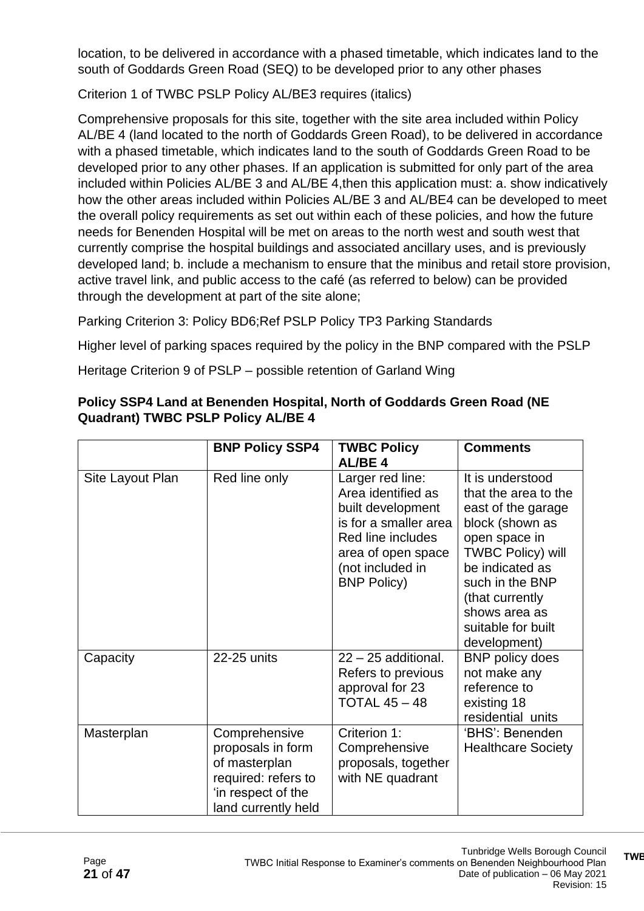location, to be delivered in accordance with a phased timetable, which indicates land to the south of Goddards Green Road (SEQ) to be developed prior to any other phases

Criterion 1 of TWBC PSLP Policy AL/BE3 requires (italics)

Comprehensive proposals for this site, together with the site area included within Policy AL/BE 4 (land located to the north of Goddards Green Road), to be delivered in accordance with a phased timetable, which indicates land to the south of Goddards Green Road to be developed prior to any other phases. If an application is submitted for only part of the area included within Policies AL/BE 3 and AL/BE 4,then this application must: a. show indicatively how the other areas included within Policies AL/BE 3 and AL/BE4 can be developed to meet the overall policy requirements as set out within each of these policies, and how the future needs for Benenden Hospital will be met on areas to the north west and south west that currently comprise the hospital buildings and associated ancillary uses, and is previously developed land; b. include a mechanism to ensure that the minibus and retail store provision, active travel link, and public access to the café (as referred to below) can be provided through the development at part of the site alone;

Parking Criterion 3: Policy BD6;Ref PSLP Policy TP3 Parking Standards

Higher level of parking spaces required by the policy in the BNP compared with the PSLP

Heritage Criterion 9 of PSLP – possible retention of Garland Wing

|                  | <b>BNP Policy SSP4</b>                                                                                                  | <b>TWBC Policy</b><br>AL/BE <sub>4</sub>                                                                                                                                  | <b>Comments</b>                                                                                                                                                                                                                                |
|------------------|-------------------------------------------------------------------------------------------------------------------------|---------------------------------------------------------------------------------------------------------------------------------------------------------------------------|------------------------------------------------------------------------------------------------------------------------------------------------------------------------------------------------------------------------------------------------|
| Site Layout Plan | Red line only                                                                                                           | Larger red line:<br>Area identified as<br>built development<br>is for a smaller area<br>Red line includes<br>area of open space<br>(not included in<br><b>BNP Policy)</b> | It is understood<br>that the area to the<br>east of the garage<br>block (shown as<br>open space in<br><b>TWBC Policy) will</b><br>be indicated as<br>such in the BNP<br>(that currently<br>shows area as<br>suitable for built<br>development) |
| Capacity         | 22-25 units                                                                                                             | $22 - 25$ additional.<br>Refers to previous<br>approval for 23<br><b>TOTAL 45 - 48</b>                                                                                    | <b>BNP</b> policy does<br>not make any<br>reference to<br>existing 18<br>residential units                                                                                                                                                     |
| Masterplan       | Comprehensive<br>proposals in form<br>of masterplan<br>required: refers to<br>'in respect of the<br>land currently held | Criterion 1:<br>Comprehensive<br>proposals, together<br>with NE quadrant                                                                                                  | 'BHS': Benenden<br><b>Healthcare Society</b>                                                                                                                                                                                                   |

#### **Policy SSP4 Land at Benenden Hospital, North of Goddards Green Road (NE Quadrant) TWBC PSLP Policy AL/BE 4**

**TWBC Initial Response to Examiner's comments on Benenden Neighbourhood**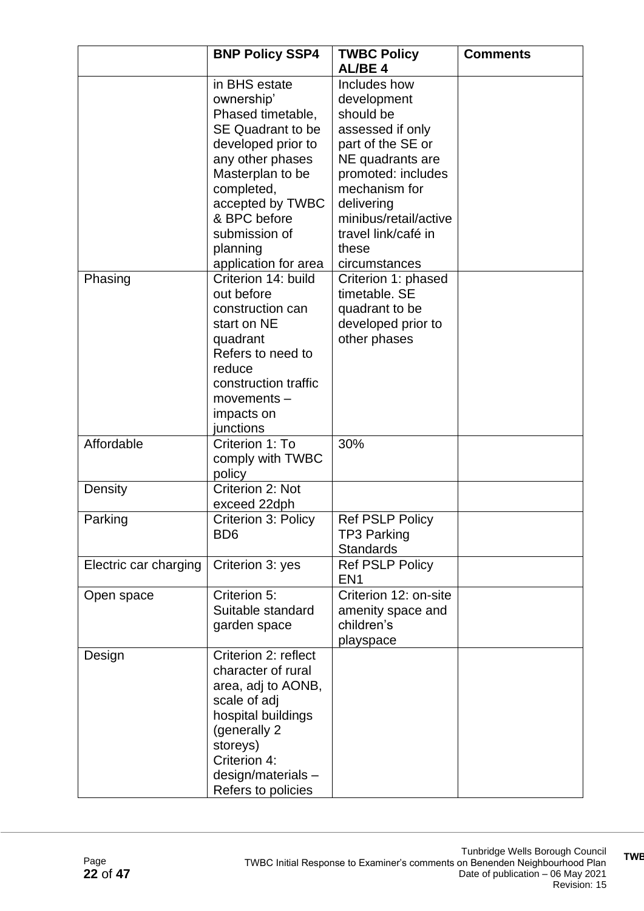|                       | <b>BNP Policy SSP4</b>                                                                                                                                                                                                                            | <b>TWBC Policy</b><br><b>AL/BE4</b>                                                                                                                                                                                                  | <b>Comments</b> |
|-----------------------|---------------------------------------------------------------------------------------------------------------------------------------------------------------------------------------------------------------------------------------------------|--------------------------------------------------------------------------------------------------------------------------------------------------------------------------------------------------------------------------------------|-----------------|
|                       | in BHS estate<br>ownership'<br>Phased timetable,<br><b>SE Quadrant to be</b><br>developed prior to<br>any other phases<br>Masterplan to be<br>completed,<br>accepted by TWBC<br>& BPC before<br>submission of<br>planning<br>application for area | Includes how<br>development<br>should be<br>assessed if only<br>part of the SE or<br>NE quadrants are<br>promoted: includes<br>mechanism for<br>delivering<br>minibus/retail/active<br>travel link/café in<br>these<br>circumstances |                 |
| Phasing               | Criterion 14: build<br>out before<br>construction can<br>start on NE<br>quadrant<br>Refers to need to<br>reduce<br>construction traffic<br>$moverents -$<br>impacts on<br>junctions                                                               | Criterion 1: phased<br>timetable. SE<br>quadrant to be<br>developed prior to<br>other phases                                                                                                                                         |                 |
| Affordable            | Criterion 1: To<br>comply with TWBC<br>policy                                                                                                                                                                                                     | 30%                                                                                                                                                                                                                                  |                 |
| Density               | Criterion 2: Not<br>exceed 22dph                                                                                                                                                                                                                  |                                                                                                                                                                                                                                      |                 |
| Parking               | <b>Criterion 3: Policy</b><br>B <sub>D6</sub>                                                                                                                                                                                                     | <b>Ref PSLP Policy</b><br><b>TP3 Parking</b><br><b>Standards</b>                                                                                                                                                                     |                 |
| Electric car charging | Criterion 3: yes                                                                                                                                                                                                                                  | Ref PSLP Policy<br>EN <sub>1</sub>                                                                                                                                                                                                   |                 |
| Open space            | Criterion 5:<br>Suitable standard<br>garden space                                                                                                                                                                                                 | Criterion 12: on-site<br>amenity space and<br>children's<br>playspace                                                                                                                                                                |                 |
| Design                | Criterion 2: reflect<br>character of rural<br>area, adj to AONB,<br>scale of adj<br>hospital buildings<br>(generally 2)<br>storeys)<br>Criterion 4:<br>design/materials-<br>Refers to policies                                                    |                                                                                                                                                                                                                                      |                 |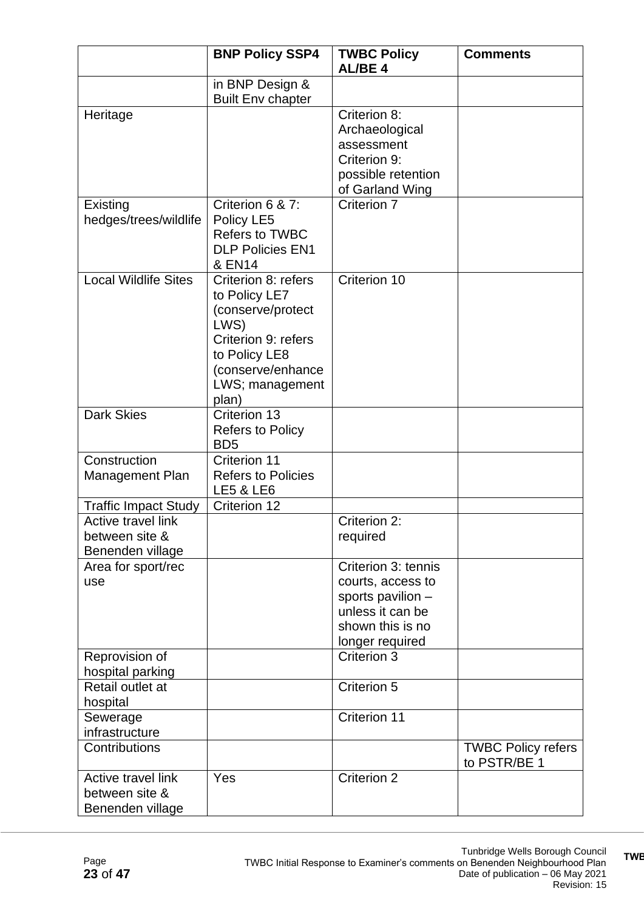|                                                          | <b>BNP Policy SSP4</b>                                                                                                                                     | <b>TWBC Policy</b><br><b>AL/BE4</b>                                                                                      | <b>Comments</b>                           |
|----------------------------------------------------------|------------------------------------------------------------------------------------------------------------------------------------------------------------|--------------------------------------------------------------------------------------------------------------------------|-------------------------------------------|
|                                                          | in BNP Design &<br><b>Built Env chapter</b>                                                                                                                |                                                                                                                          |                                           |
| Heritage                                                 |                                                                                                                                                            | Criterion 8:<br>Archaeological<br>assessment<br>Criterion 9:<br>possible retention<br>of Garland Wing                    |                                           |
| Existing<br>hedges/trees/wildlife                        | Criterion 6 & 7:<br>Policy LE5<br><b>Refers to TWBC</b><br><b>DLP Policies EN1</b><br><b>&amp; EN14</b>                                                    | Criterion 7                                                                                                              |                                           |
| <b>Local Wildlife Sites</b>                              | Criterion 8: refers<br>to Policy LE7<br>(conserve/protect<br>LWS)<br>Criterion 9: refers<br>to Policy LE8<br>(conserve/enhance<br>LWS; management<br>plan) | Criterion 10                                                                                                             |                                           |
| <b>Dark Skies</b>                                        | Criterion 13<br><b>Refers to Policy</b><br>B <sub>D5</sub>                                                                                                 |                                                                                                                          |                                           |
| Construction<br>Management Plan                          | <b>Criterion 11</b><br><b>Refers to Policies</b><br><b>LE5 &amp; LE6</b>                                                                                   |                                                                                                                          |                                           |
| <b>Traffic Impact Study</b>                              | Criterion 12                                                                                                                                               |                                                                                                                          |                                           |
| Active travel link<br>between site &<br>Benenden village |                                                                                                                                                            | Criterion 2:<br>required                                                                                                 |                                           |
| Area for sport/rec<br>use                                |                                                                                                                                                            | Criterion 3: tennis<br>courts, access to<br>sports pavilion -<br>unless it can be<br>shown this is no<br>longer required |                                           |
| Reprovision of<br>hospital parking                       |                                                                                                                                                            | Criterion 3                                                                                                              |                                           |
| Retail outlet at<br>hospital                             |                                                                                                                                                            | Criterion 5                                                                                                              |                                           |
| Sewerage<br>infrastructure                               |                                                                                                                                                            | Criterion 11                                                                                                             |                                           |
| Contributions                                            |                                                                                                                                                            |                                                                                                                          | <b>TWBC Policy refers</b><br>to PSTR/BE 1 |
| Active travel link<br>between site &<br>Benenden village | Yes                                                                                                                                                        | <b>Criterion 2</b>                                                                                                       |                                           |

**TWBC Initial Response to Examiner's comments on Benenden Neighbourhood**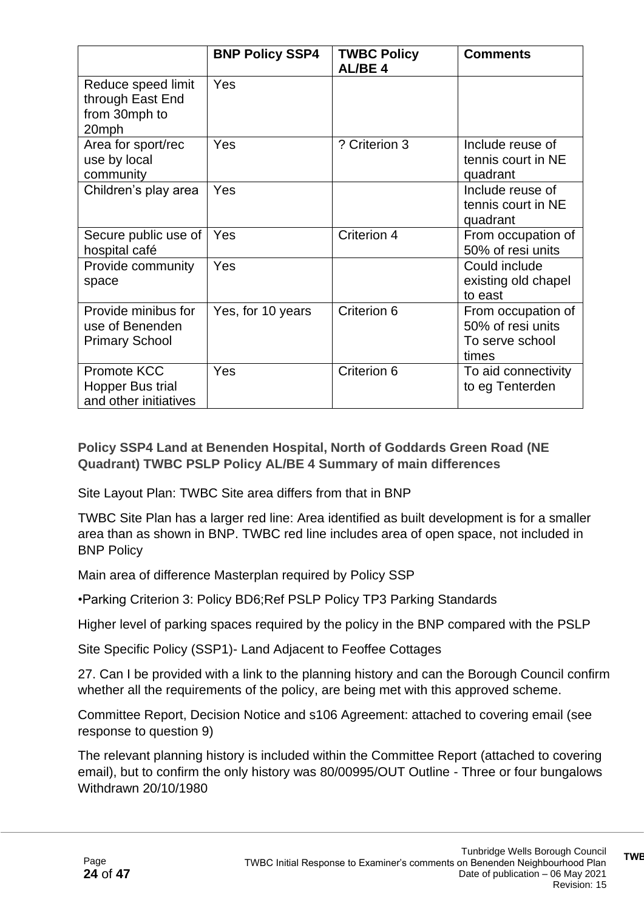|                                                                  | <b>BNP Policy SSP4</b> | <b>TWBC Policy</b><br><b>AL/BE4</b> | <b>Comments</b>                                                     |
|------------------------------------------------------------------|------------------------|-------------------------------------|---------------------------------------------------------------------|
| Reduce speed limit<br>through East End<br>from 30mph to<br>20mph | Yes                    |                                     |                                                                     |
| Area for sport/rec<br>use by local<br>community                  | Yes                    | ? Criterion 3                       | Include reuse of<br>tennis court in NE<br>quadrant                  |
| Children's play area                                             | Yes                    |                                     | Include reuse of<br>tennis court in NE<br>quadrant                  |
| Secure public use of<br>hospital café                            | Yes                    | Criterion 4                         | From occupation of<br>50% of resi units                             |
| Provide community<br>space                                       | Yes                    |                                     | Could include<br>existing old chapel<br>to east                     |
| Provide minibus for<br>use of Benenden<br><b>Primary School</b>  | Yes, for 10 years      | Criterion 6                         | From occupation of<br>50% of resi units<br>To serve school<br>times |
| Promote KCC<br>Hopper Bus trial<br>and other initiatives         | Yes                    | Criterion 6                         | To aid connectivity<br>to eg Tenterden                              |

**Policy SSP4 Land at Benenden Hospital, North of Goddards Green Road (NE Quadrant) TWBC PSLP Policy AL/BE 4 Summary of main differences**

Site Layout Plan: TWBC Site area differs from that in BNP

TWBC Site Plan has a larger red line: Area identified as built development is for a smaller area than as shown in BNP. TWBC red line includes area of open space, not included in BNP Policy

Main area of difference Masterplan required by Policy SSP

•Parking Criterion 3: Policy BD6;Ref PSLP Policy TP3 Parking Standards

Higher level of parking spaces required by the policy in the BNP compared with the PSLP

Site Specific Policy (SSP1)- Land Adjacent to Feoffee Cottages

27. Can I be provided with a link to the planning history and can the Borough Council confirm whether all the requirements of the policy, are being met with this approved scheme.

Committee Report, Decision Notice and s106 Agreement: attached to covering email (see response to question 9)

The relevant planning history is included within the Committee Report (attached to covering email), but to confirm the only history was 80/00995/OUT Outline - Three or four bungalows Withdrawn 20/10/1980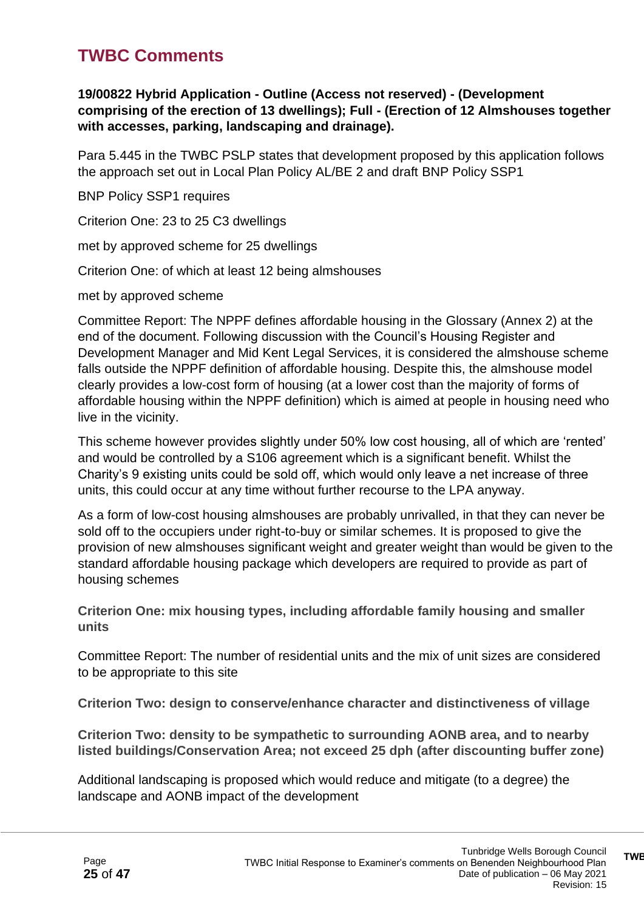### **TWBC Comments**

**19/00822 Hybrid Application - Outline (Access not reserved) - (Development comprising of the erection of 13 dwellings); Full - (Erection of 12 Almshouses together with accesses, parking, landscaping and drainage).**

Para 5.445 in the TWBC PSLP states that development proposed by this application follows the approach set out in Local Plan Policy AL/BE 2 and draft BNP Policy SSP1

BNP Policy SSP1 requires

Criterion One: 23 to 25 C3 dwellings

met by approved scheme for 25 dwellings

Criterion One: of which at least 12 being almshouses

met by approved scheme

Committee Report: The NPPF defines affordable housing in the Glossary (Annex 2) at the end of the document. Following discussion with the Council's Housing Register and Development Manager and Mid Kent Legal Services, it is considered the almshouse scheme falls outside the NPPF definition of affordable housing. Despite this, the almshouse model clearly provides a low-cost form of housing (at a lower cost than the majority of forms of affordable housing within the NPPF definition) which is aimed at people in housing need who live in the vicinity.

This scheme however provides slightly under 50% low cost housing, all of which are 'rented' and would be controlled by a S106 agreement which is a significant benefit. Whilst the Charity's 9 existing units could be sold off, which would only leave a net increase of three units, this could occur at any time without further recourse to the LPA anyway.

As a form of low-cost housing almshouses are probably unrivalled, in that they can never be sold off to the occupiers under right-to-buy or similar schemes. It is proposed to give the provision of new almshouses significant weight and greater weight than would be given to the standard affordable housing package which developers are required to provide as part of housing schemes

**Criterion One: mix housing types, including affordable family housing and smaller units**

Committee Report: The number of residential units and the mix of unit sizes are considered to be appropriate to this site

**Criterion Two: design to conserve/enhance character and distinctiveness of village**

**Criterion Two: density to be sympathetic to surrounding AONB area, and to nearby listed buildings/Conservation Area; not exceed 25 dph (after discounting buffer zone)**

Additional landscaping is proposed which would reduce and mitigate (to a degree) the landscape and AONB impact of the development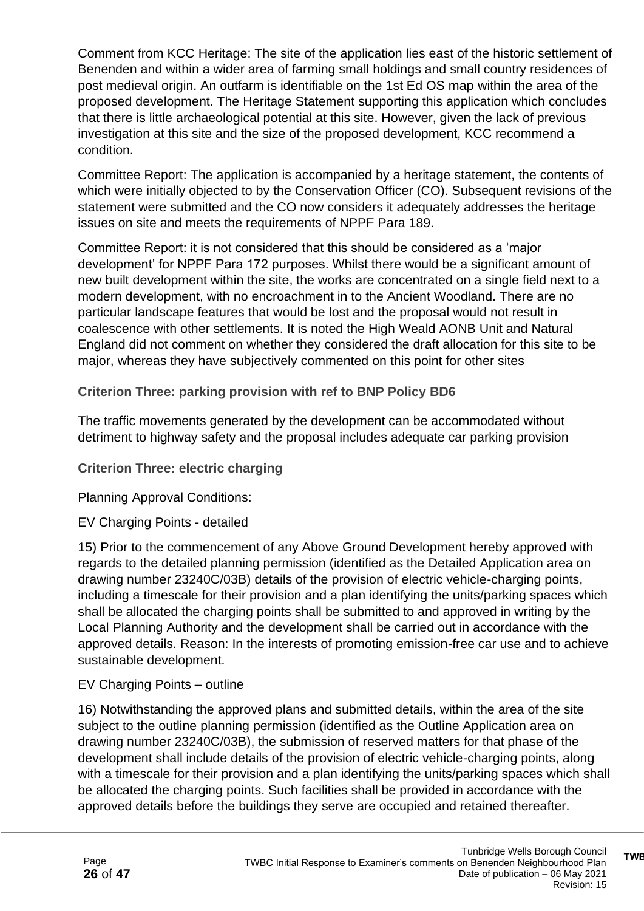Comment from KCC Heritage: The site of the application lies east of the historic settlement of Benenden and within a wider area of farming small holdings and small country residences of post medieval origin. An outfarm is identifiable on the 1st Ed OS map within the area of the proposed development. The Heritage Statement supporting this application which concludes that there is little archaeological potential at this site. However, given the lack of previous investigation at this site and the size of the proposed development, KCC recommend a condition.

Committee Report: The application is accompanied by a heritage statement, the contents of which were initially objected to by the Conservation Officer (CO). Subsequent revisions of the statement were submitted and the CO now considers it adequately addresses the heritage issues on site and meets the requirements of NPPF Para 189.

Committee Report: it is not considered that this should be considered as a 'major development' for NPPF Para 172 purposes. Whilst there would be a significant amount of new built development within the site, the works are concentrated on a single field next to a modern development, with no encroachment in to the Ancient Woodland. There are no particular landscape features that would be lost and the proposal would not result in coalescence with other settlements. It is noted the High Weald AONB Unit and Natural England did not comment on whether they considered the draft allocation for this site to be major, whereas they have subjectively commented on this point for other sites

**Criterion Three: parking provision with ref to BNP Policy BD6**

The traffic movements generated by the development can be accommodated without detriment to highway safety and the proposal includes adequate car parking provision

**Criterion Three: electric charging**

Planning Approval Conditions:

EV Charging Points - detailed

15) Prior to the commencement of any Above Ground Development hereby approved with regards to the detailed planning permission (identified as the Detailed Application area on drawing number 23240C/03B) details of the provision of electric vehicle-charging points, including a timescale for their provision and a plan identifying the units/parking spaces which shall be allocated the charging points shall be submitted to and approved in writing by the Local Planning Authority and the development shall be carried out in accordance with the approved details. Reason: In the interests of promoting emission-free car use and to achieve sustainable development.

#### EV Charging Points – outline

16) Notwithstanding the approved plans and submitted details, within the area of the site subject to the outline planning permission (identified as the Outline Application area on drawing number 23240C/03B), the submission of reserved matters for that phase of the development shall include details of the provision of electric vehicle-charging points, along with a timescale for their provision and a plan identifying the units/parking spaces which shall be allocated the charging points. Such facilities shall be provided in accordance with the approved details before the buildings they serve are occupied and retained thereafter.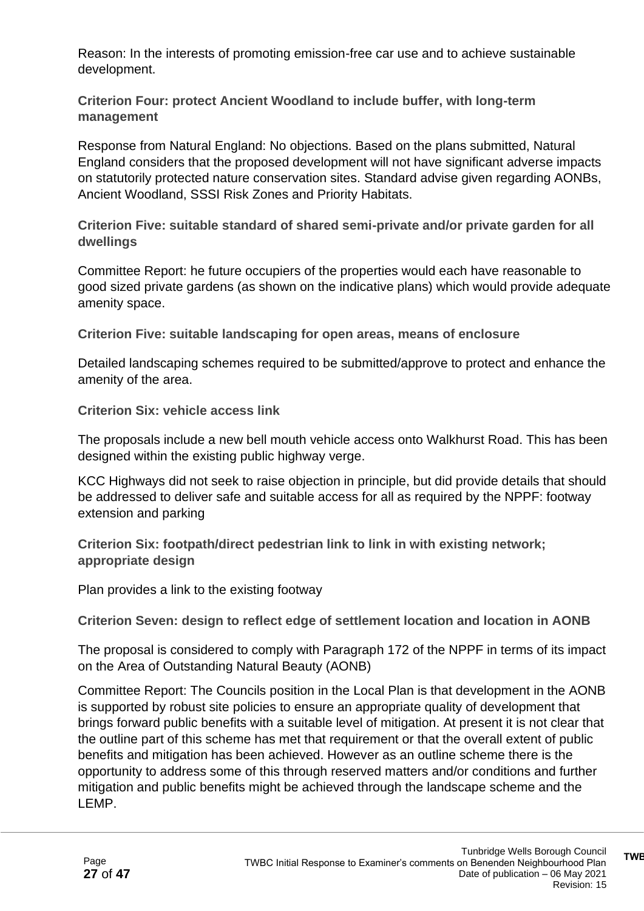Reason: In the interests of promoting emission-free car use and to achieve sustainable development.

**Criterion Four: protect Ancient Woodland to include buffer, with long-term management**

Response from Natural England: No objections. Based on the plans submitted, Natural England considers that the proposed development will not have significant adverse impacts on statutorily protected nature conservation sites. Standard advise given regarding AONBs, Ancient Woodland, SSSI Risk Zones and Priority Habitats.

**Criterion Five: suitable standard of shared semi-private and/or private garden for all dwellings**

Committee Report: he future occupiers of the properties would each have reasonable to good sized private gardens (as shown on the indicative plans) which would provide adequate amenity space.

**Criterion Five: suitable landscaping for open areas, means of enclosure**

Detailed landscaping schemes required to be submitted/approve to protect and enhance the amenity of the area.

**Criterion Six: vehicle access link**

The proposals include a new bell mouth vehicle access onto Walkhurst Road. This has been designed within the existing public highway verge.

KCC Highways did not seek to raise objection in principle, but did provide details that should be addressed to deliver safe and suitable access for all as required by the NPPF: footway extension and parking

**Criterion Six: footpath/direct pedestrian link to link in with existing network; appropriate design**

Plan provides a link to the existing footway

**Criterion Seven: design to reflect edge of settlement location and location in AONB**

The proposal is considered to comply with Paragraph 172 of the NPPF in terms of its impact on the Area of Outstanding Natural Beauty (AONB)

Committee Report: The Councils position in the Local Plan is that development in the AONB is supported by robust site policies to ensure an appropriate quality of development that brings forward public benefits with a suitable level of mitigation. At present it is not clear that the outline part of this scheme has met that requirement or that the overall extent of public benefits and mitigation has been achieved. However as an outline scheme there is the opportunity to address some of this through reserved matters and/or conditions and further mitigation and public benefits might be achieved through the landscape scheme and the LEMP.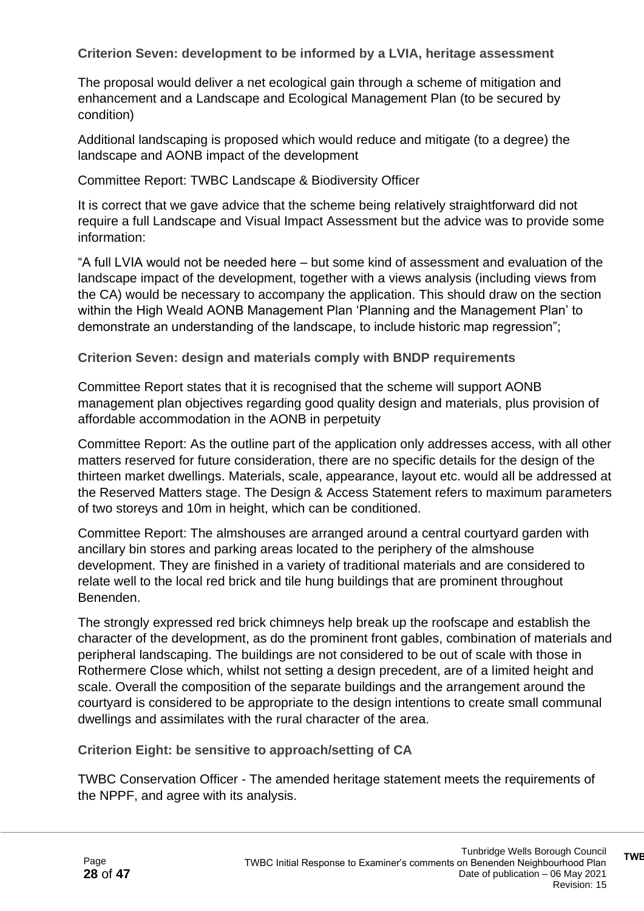**Criterion Seven: development to be informed by a LVIA, heritage assessment**

The proposal would deliver a net ecological gain through a scheme of mitigation and enhancement and a Landscape and Ecological Management Plan (to be secured by condition)

Additional landscaping is proposed which would reduce and mitigate (to a degree) the landscape and AONB impact of the development

Committee Report: TWBC Landscape & Biodiversity Officer

It is correct that we gave advice that the scheme being relatively straightforward did not require a full Landscape and Visual Impact Assessment but the advice was to provide some information:

"A full LVIA would not be needed here – but some kind of assessment and evaluation of the landscape impact of the development, together with a views analysis (including views from the CA) would be necessary to accompany the application. This should draw on the section within the High Weald AONB Management Plan 'Planning and the Management Plan' to demonstrate an understanding of the landscape, to include historic map regression";

**Criterion Seven: design and materials comply with BNDP requirements**

Committee Report states that it is recognised that the scheme will support AONB management plan objectives regarding good quality design and materials, plus provision of affordable accommodation in the AONB in perpetuity

Committee Report: As the outline part of the application only addresses access, with all other matters reserved for future consideration, there are no specific details for the design of the thirteen market dwellings. Materials, scale, appearance, layout etc. would all be addressed at the Reserved Matters stage. The Design & Access Statement refers to maximum parameters of two storeys and 10m in height, which can be conditioned.

Committee Report: The almshouses are arranged around a central courtyard garden with ancillary bin stores and parking areas located to the periphery of the almshouse development. They are finished in a variety of traditional materials and are considered to relate well to the local red brick and tile hung buildings that are prominent throughout Benenden.

The strongly expressed red brick chimneys help break up the roofscape and establish the character of the development, as do the prominent front gables, combination of materials and peripheral landscaping. The buildings are not considered to be out of scale with those in Rothermere Close which, whilst not setting a design precedent, are of a limited height and scale. Overall the composition of the separate buildings and the arrangement around the courtyard is considered to be appropriate to the design intentions to create small communal dwellings and assimilates with the rural character of the area.

**Criterion Eight: be sensitive to approach/setting of CA**

TWBC Conservation Officer - The amended heritage statement meets the requirements of the NPPF, and agree with its analysis.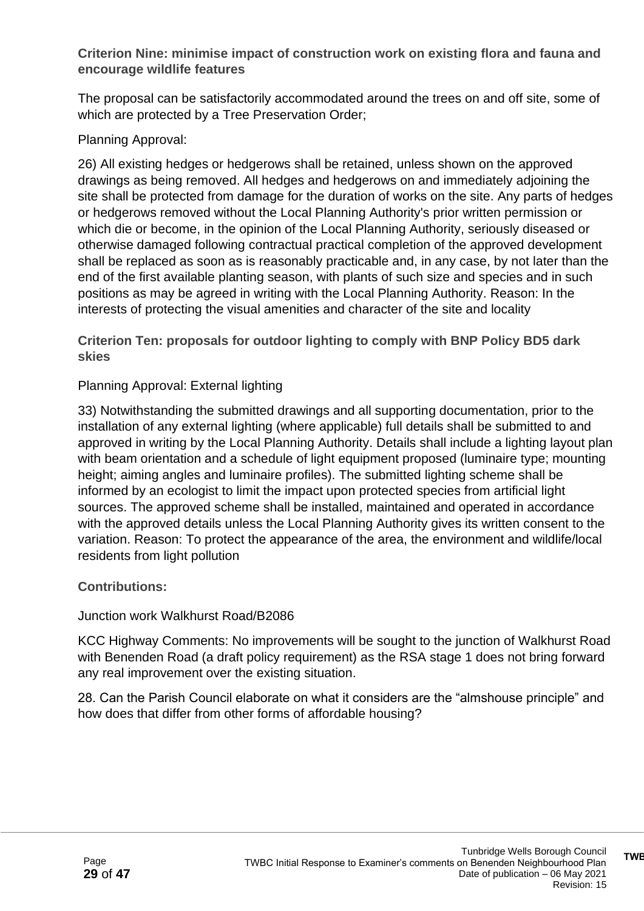**Criterion Nine: minimise impact of construction work on existing flora and fauna and encourage wildlife features**

The proposal can be satisfactorily accommodated around the trees on and off site, some of which are protected by a Tree Preservation Order;

#### Planning Approval:

26) All existing hedges or hedgerows shall be retained, unless shown on the approved drawings as being removed. All hedges and hedgerows on and immediately adjoining the site shall be protected from damage for the duration of works on the site. Any parts of hedges or hedgerows removed without the Local Planning Authority's prior written permission or which die or become, in the opinion of the Local Planning Authority, seriously diseased or otherwise damaged following contractual practical completion of the approved development shall be replaced as soon as is reasonably practicable and, in any case, by not later than the end of the first available planting season, with plants of such size and species and in such positions as may be agreed in writing with the Local Planning Authority. Reason: In the interests of protecting the visual amenities and character of the site and locality

**Criterion Ten: proposals for outdoor lighting to comply with BNP Policy BD5 dark skies**

#### Planning Approval: External lighting

33) Notwithstanding the submitted drawings and all supporting documentation, prior to the installation of any external lighting (where applicable) full details shall be submitted to and approved in writing by the Local Planning Authority. Details shall include a lighting layout plan with beam orientation and a schedule of light equipment proposed (luminaire type; mounting height; aiming angles and luminaire profiles). The submitted lighting scheme shall be informed by an ecologist to limit the impact upon protected species from artificial light sources. The approved scheme shall be installed, maintained and operated in accordance with the approved details unless the Local Planning Authority gives its written consent to the variation. Reason: To protect the appearance of the area, the environment and wildlife/local residents from light pollution

#### **Contributions:**

#### Junction work Walkhurst Road/B2086

KCC Highway Comments: No improvements will be sought to the junction of Walkhurst Road with Benenden Road (a draft policy requirement) as the RSA stage 1 does not bring forward any real improvement over the existing situation.

28. Can the Parish Council elaborate on what it considers are the "almshouse principle" and how does that differ from other forms of affordable housing?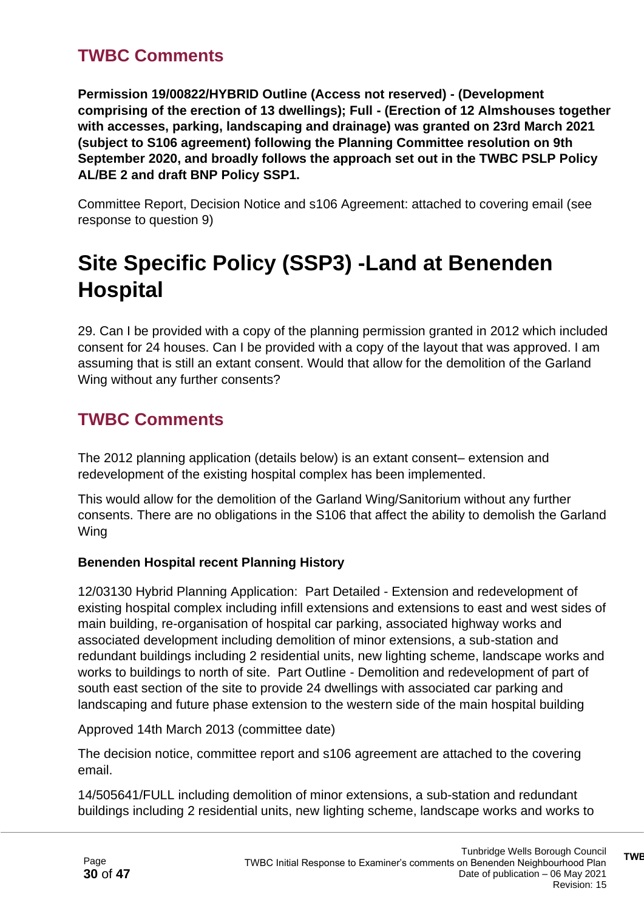### **TWBC Comments**

**Permission 19/00822/HYBRID Outline (Access not reserved) - (Development comprising of the erection of 13 dwellings); Full - (Erection of 12 Almshouses together with accesses, parking, landscaping and drainage) was granted on 23rd March 2021 (subject to S106 agreement) following the Planning Committee resolution on 9th September 2020, and broadly follows the approach set out in the TWBC PSLP Policy AL/BE 2 and draft BNP Policy SSP1.**

Committee Report, Decision Notice and s106 Agreement: attached to covering email (see response to question 9)

# **Site Specific Policy (SSP3) -Land at Benenden Hospital**

29. Can I be provided with a copy of the planning permission granted in 2012 which included consent for 24 houses. Can I be provided with a copy of the layout that was approved. I am assuming that is still an extant consent. Would that allow for the demolition of the Garland Wing without any further consents?

### **TWBC Comments**

The 2012 planning application (details below) is an extant consent– extension and redevelopment of the existing hospital complex has been implemented.

This would allow for the demolition of the Garland Wing/Sanitorium without any further consents. There are no obligations in the S106 that affect the ability to demolish the Garland Wing

#### **Benenden Hospital recent Planning History**

12/03130 Hybrid Planning Application: Part Detailed - Extension and redevelopment of existing hospital complex including infill extensions and extensions to east and west sides of main building, re-organisation of hospital car parking, associated highway works and associated development including demolition of minor extensions, a sub-station and redundant buildings including 2 residential units, new lighting scheme, landscape works and works to buildings to north of site. Part Outline - Demolition and redevelopment of part of south east section of the site to provide 24 dwellings with associated car parking and landscaping and future phase extension to the western side of the main hospital building

Approved 14th March 2013 (committee date)

The decision notice, committee report and s106 agreement are attached to the covering email.

14/505641/FULL including demolition of minor extensions, a sub-station and redundant buildings including 2 residential units, new lighting scheme, landscape works and works to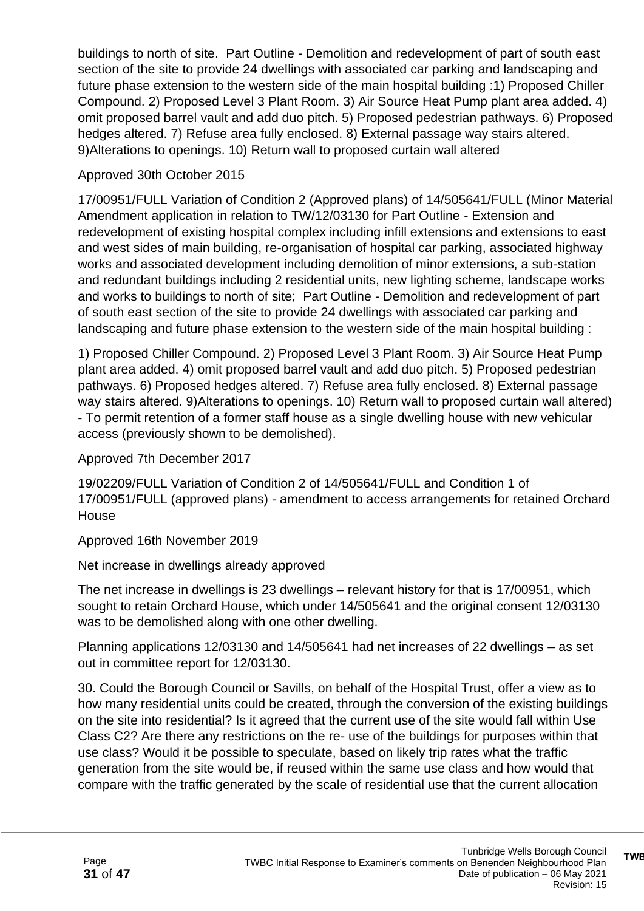buildings to north of site. Part Outline - Demolition and redevelopment of part of south east section of the site to provide 24 dwellings with associated car parking and landscaping and future phase extension to the western side of the main hospital building :1) Proposed Chiller Compound. 2) Proposed Level 3 Plant Room. 3) Air Source Heat Pump plant area added. 4) omit proposed barrel vault and add duo pitch. 5) Proposed pedestrian pathways. 6) Proposed hedges altered. 7) Refuse area fully enclosed. 8) External passage way stairs altered. 9)Alterations to openings. 10) Return wall to proposed curtain wall altered

#### Approved 30th October 2015

17/00951/FULL Variation of Condition 2 (Approved plans) of 14/505641/FULL (Minor Material Amendment application in relation to TW/12/03130 for Part Outline - Extension and redevelopment of existing hospital complex including infill extensions and extensions to east and west sides of main building, re-organisation of hospital car parking, associated highway works and associated development including demolition of minor extensions, a sub-station and redundant buildings including 2 residential units, new lighting scheme, landscape works and works to buildings to north of site; Part Outline - Demolition and redevelopment of part of south east section of the site to provide 24 dwellings with associated car parking and landscaping and future phase extension to the western side of the main hospital building :

1) Proposed Chiller Compound. 2) Proposed Level 3 Plant Room. 3) Air Source Heat Pump plant area added. 4) omit proposed barrel vault and add duo pitch. 5) Proposed pedestrian pathways. 6) Proposed hedges altered. 7) Refuse area fully enclosed. 8) External passage way stairs altered. 9)Alterations to openings. 10) Return wall to proposed curtain wall altered) - To permit retention of a former staff house as a single dwelling house with new vehicular access (previously shown to be demolished).

#### Approved 7th December 2017

19/02209/FULL Variation of Condition 2 of 14/505641/FULL and Condition 1 of 17/00951/FULL (approved plans) - amendment to access arrangements for retained Orchard House

#### Approved 16th November 2019

Net increase in dwellings already approved

The net increase in dwellings is 23 dwellings – relevant history for that is 17/00951, which sought to retain Orchard House, which under 14/505641 and the original consent 12/03130 was to be demolished along with one other dwelling.

Planning applications 12/03130 and 14/505641 had net increases of 22 dwellings – as set out in committee report for 12/03130.

30. Could the Borough Council or Savills, on behalf of the Hospital Trust, offer a view as to how many residential units could be created, through the conversion of the existing buildings on the site into residential? Is it agreed that the current use of the site would fall within Use Class C2? Are there any restrictions on the re- use of the buildings for purposes within that use class? Would it be possible to speculate, based on likely trip rates what the traffic generation from the site would be, if reused within the same use class and how would that compare with the traffic generated by the scale of residential use that the current allocation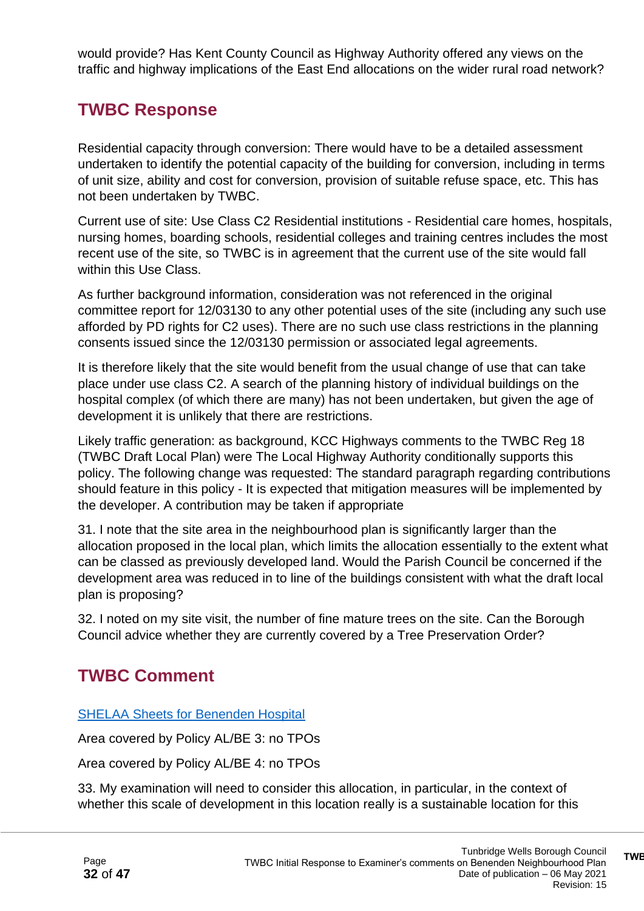would provide? Has Kent County Council as Highway Authority offered any views on the traffic and highway implications of the East End allocations on the wider rural road network?

### **TWBC Response**

Residential capacity through conversion: There would have to be a detailed assessment undertaken to identify the potential capacity of the building for conversion, including in terms of unit size, ability and cost for conversion, provision of suitable refuse space, etc. This has not been undertaken by TWBC.

Current use of site: Use Class C2 Residential institutions - Residential care homes, hospitals, nursing homes, boarding schools, residential colleges and training centres includes the most recent use of the site, so TWBC is in agreement that the current use of the site would fall within this Use Class.

As further background information, consideration was not referenced in the original committee report for 12/03130 to any other potential uses of the site (including any such use afforded by PD rights for C2 uses). There are no such use class restrictions in the planning consents issued since the 12/03130 permission or associated legal agreements.

It is therefore likely that the site would benefit from the usual change of use that can take place under use class C2. A search of the planning history of individual buildings on the hospital complex (of which there are many) has not been undertaken, but given the age of development it is unlikely that there are restrictions.

Likely traffic generation: as background, KCC Highways comments to the TWBC Reg 18 (TWBC Draft Local Plan) were The Local Highway Authority conditionally supports this policy. The following change was requested: The standard paragraph regarding contributions should feature in this policy - It is expected that mitigation measures will be implemented by the developer. A contribution may be taken if appropriate

31. I note that the site area in the neighbourhood plan is significantly larger than the allocation proposed in the local plan, which limits the allocation essentially to the extent what can be classed as previously developed land. Would the Parish Council be concerned if the development area was reduced in to line of the buildings consistent with what the draft local plan is proposing?

32. I noted on my site visit, the number of fine mature trees on the site. Can the Borough Council advice whether they are currently covered by a Tree Preservation Order?

### **TWBC Comment**

#### SHELAA [Sheets for Benenden Hospital](https://tunbridgewells.gov.uk/__data/assets/pdf_file/0003/388056/01_Benenden-Site-Assessment-Sheets_SHELAA.pdf)

Area covered by Policy AL/BE 3: no TPOs

Area covered by Policy AL/BE 4: no TPOs

33. My examination will need to consider this allocation, in particular, in the context of whether this scale of development in this location really is a sustainable location for this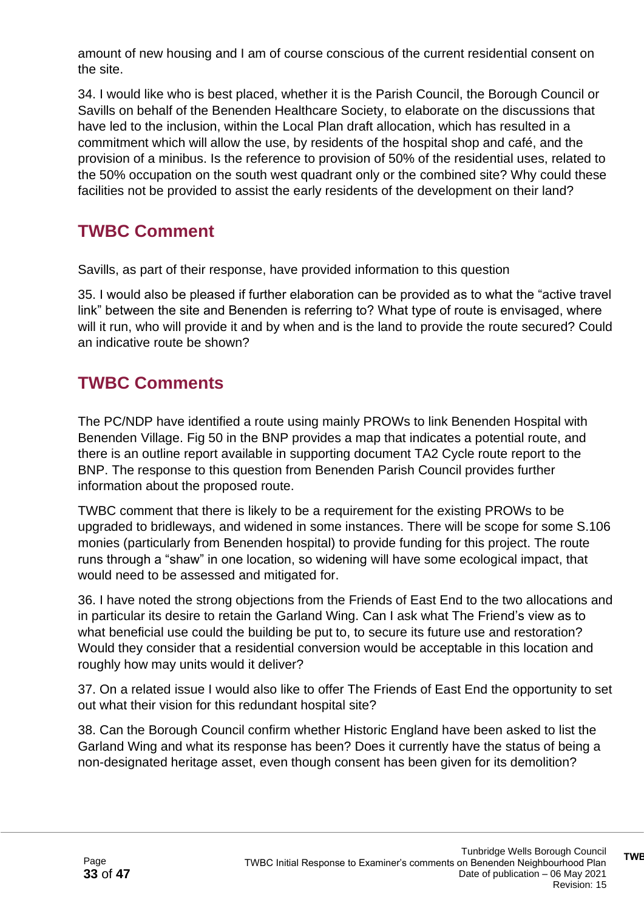amount of new housing and I am of course conscious of the current residential consent on the site.

34. I would like who is best placed, whether it is the Parish Council, the Borough Council or Savills on behalf of the Benenden Healthcare Society, to elaborate on the discussions that have led to the inclusion, within the Local Plan draft allocation, which has resulted in a commitment which will allow the use, by residents of the hospital shop and café, and the provision of a minibus. Is the reference to provision of 50% of the residential uses, related to the 50% occupation on the south west quadrant only or the combined site? Why could these facilities not be provided to assist the early residents of the development on their land?

### **TWBC Comment**

Savills, as part of their response, have provided information to this question

35. I would also be pleased if further elaboration can be provided as to what the "active travel link" between the site and Benenden is referring to? What type of route is envisaged, where will it run, who will provide it and by when and is the land to provide the route secured? Could an indicative route be shown?

### **TWBC Comments**

The PC/NDP have identified a route using mainly PROWs to link Benenden Hospital with Benenden Village. Fig 50 in the BNP provides a map that indicates a potential route, and there is an outline report available in supporting document TA2 Cycle route report to the BNP. The response to this question from Benenden Parish Council provides further information about the proposed route.

TWBC comment that there is likely to be a requirement for the existing PROWs to be upgraded to bridleways, and widened in some instances. There will be scope for some S.106 monies (particularly from Benenden hospital) to provide funding for this project. The route runs through a "shaw" in one location, so widening will have some ecological impact, that would need to be assessed and mitigated for.

36. I have noted the strong objections from the Friends of East End to the two allocations and in particular its desire to retain the Garland Wing. Can I ask what The Friend's view as to what beneficial use could the building be put to, to secure its future use and restoration? Would they consider that a residential conversion would be acceptable in this location and roughly how may units would it deliver?

37. On a related issue I would also like to offer The Friends of East End the opportunity to set out what their vision for this redundant hospital site?

38. Can the Borough Council confirm whether Historic England have been asked to list the Garland Wing and what its response has been? Does it currently have the status of being a non-designated heritage asset, even though consent has been given for its demolition?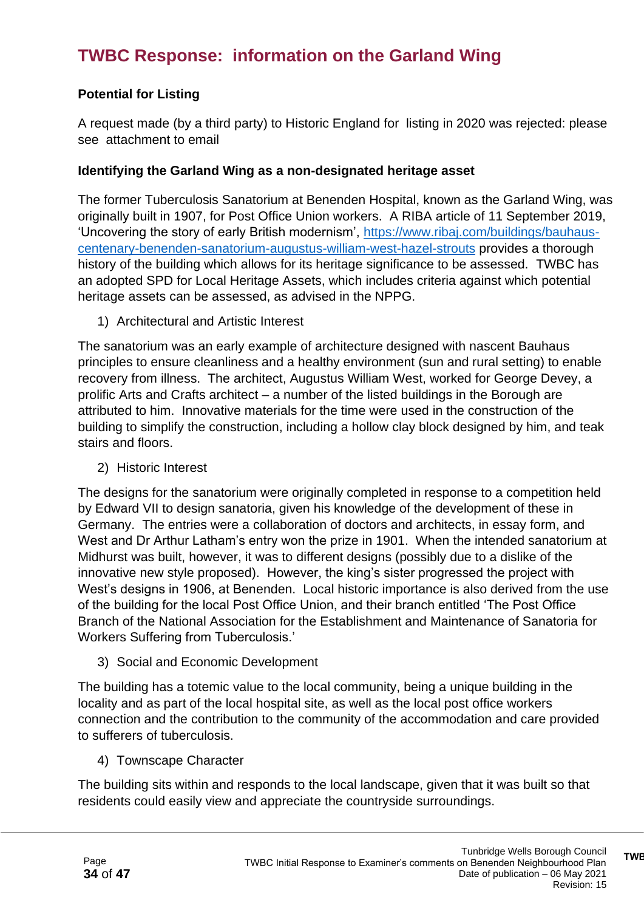### **TWBC Response: information on the Garland Wing**

#### **Potential for Listing**

A request made (by a third party) to Historic England for listing in 2020 was rejected: please see attachment to email

#### **Identifying the Garland Wing as a non-designated heritage asset**

The former Tuberculosis Sanatorium at Benenden Hospital, known as the Garland Wing, was originally built in 1907, for Post Office Union workers. A RIBA article of 11 September 2019, 'Uncovering the story of early British modernism', [https://www.ribaj.com/buildings/bauhaus](https://www.ribaj.com/buildings/bauhaus-centenary-benenden-sanatorium-augustus-william-west-hazel-strouts)[centenary-benenden-sanatorium-augustus-william-west-hazel-strouts](https://www.ribaj.com/buildings/bauhaus-centenary-benenden-sanatorium-augustus-william-west-hazel-strouts) provides a thorough history of the building which allows for its heritage significance to be assessed. TWBC has an adopted SPD for Local Heritage Assets, which includes criteria against which potential heritage assets can be assessed, as advised in the NPPG.

1) Architectural and Artistic Interest

The sanatorium was an early example of architecture designed with nascent Bauhaus principles to ensure cleanliness and a healthy environment (sun and rural setting) to enable recovery from illness. The architect, Augustus William West, worked for George Devey, a prolific Arts and Crafts architect – a number of the listed buildings in the Borough are attributed to him. Innovative materials for the time were used in the construction of the building to simplify the construction, including a hollow clay block designed by him, and teak stairs and floors.

2) Historic Interest

The designs for the sanatorium were originally completed in response to a competition held by Edward VII to design sanatoria, given his knowledge of the development of these in Germany. The entries were a collaboration of doctors and architects, in essay form, and West and Dr Arthur Latham's entry won the prize in 1901. When the intended sanatorium at Midhurst was built, however, it was to different designs (possibly due to a dislike of the innovative new style proposed). However, the king's sister progressed the project with West's designs in 1906, at Benenden. Local historic importance is also derived from the use of the building for the local Post Office Union, and their branch entitled 'The Post Office Branch of the National Association for the Establishment and Maintenance of Sanatoria for Workers Suffering from Tuberculosis.'

3) Social and Economic Development

The building has a totemic value to the local community, being a unique building in the locality and as part of the local hospital site, as well as the local post office workers connection and the contribution to the community of the accommodation and care provided to sufferers of tuberculosis.

4) Townscape Character

The building sits within and responds to the local landscape, given that it was built so that residents could easily view and appreciate the countryside surroundings.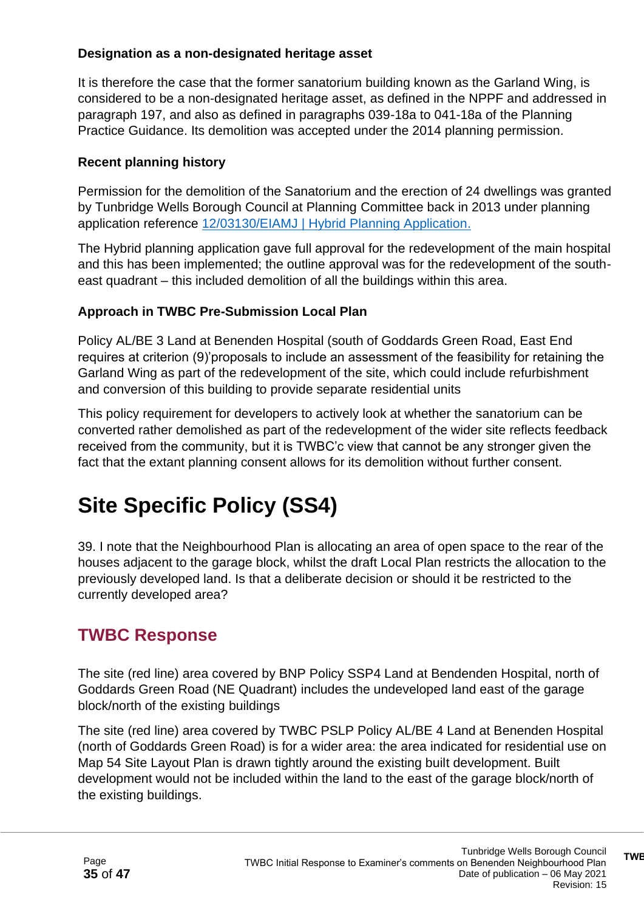#### **Designation as a non-designated heritage asset**

It is therefore the case that the former sanatorium building known as the Garland Wing, is considered to be a non-designated heritage asset, as defined in the NPPF and addressed in paragraph 197, and also as defined in paragraphs 039-18a to 041-18a of the Planning Practice Guidance. Its demolition was accepted under the 2014 planning permission.

#### **Recent planning history**

Permission for the demolition of the Sanatorium and the erection of 24 dwellings was granted by Tunbridge Wells Borough Council at Planning Committee back in 2013 under planning application reference [12/03130/EIAMJ | Hybrid Planning Application.](https://twbcpa.midkent.gov.uk/online-applications/applicationDetails.do?activeTab=documents&keyVal=MDFLZYBW07T00)

The Hybrid planning application gave full approval for the redevelopment of the main hospital and this has been implemented; the outline approval was for the redevelopment of the southeast quadrant – this included demolition of all the buildings within this area.

#### **Approach in TWBC Pre-Submission Local Plan**

Policy AL/BE 3 Land at Benenden Hospital (south of Goddards Green Road, East End requires at criterion (9)'proposals to include an assessment of the feasibility for retaining the Garland Wing as part of the redevelopment of the site, which could include refurbishment and conversion of this building to provide separate residential units

This policy requirement for developers to actively look at whether the sanatorium can be converted rather demolished as part of the redevelopment of the wider site reflects feedback received from the community, but it is TWBC'c view that cannot be any stronger given the fact that the extant planning consent allows for its demolition without further consent.

# **Site Specific Policy (SS4)**

39. I note that the Neighbourhood Plan is allocating an area of open space to the rear of the houses adjacent to the garage block, whilst the draft Local Plan restricts the allocation to the previously developed land. Is that a deliberate decision or should it be restricted to the currently developed area?

### **TWBC Response**

The site (red line) area covered by BNP Policy SSP4 Land at Bendenden Hospital, north of Goddards Green Road (NE Quadrant) includes the undeveloped land east of the garage block/north of the existing buildings

The site (red line) area covered by TWBC PSLP Policy AL/BE 4 Land at Benenden Hospital (north of Goddards Green Road) is for a wider area: the area indicated for residential use on Map 54 Site Layout Plan is drawn tightly around the existing built development. Built development would not be included within the land to the east of the garage block/north of the existing buildings.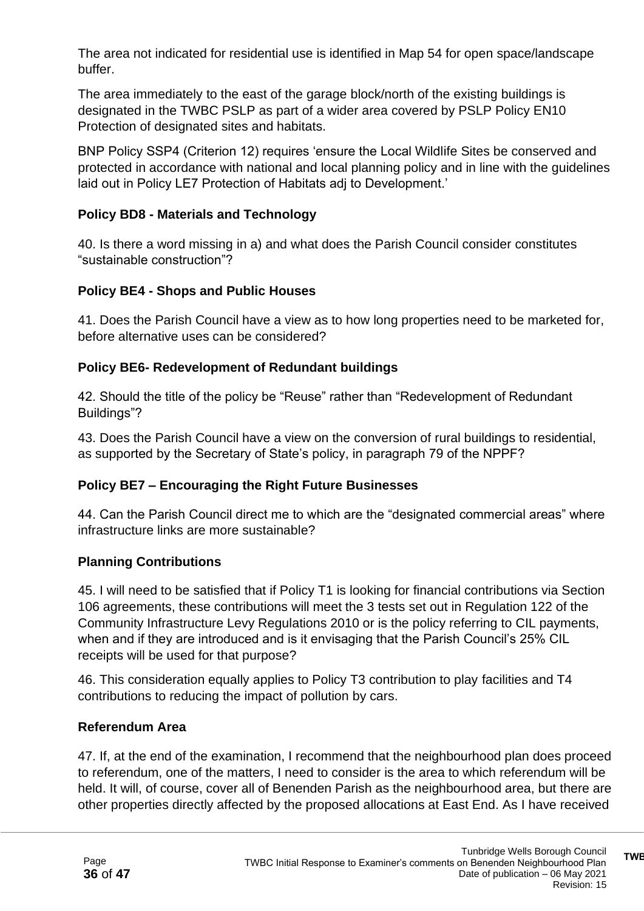The area not indicated for residential use is identified in Map 54 for open space/landscape buffer.

The area immediately to the east of the garage block/north of the existing buildings is designated in the TWBC PSLP as part of a wider area covered by PSLP Policy EN10 Protection of designated sites and habitats.

BNP Policy SSP4 (Criterion 12) requires 'ensure the Local Wildlife Sites be conserved and protected in accordance with national and local planning policy and in line with the guidelines laid out in Policy LE7 Protection of Habitats adj to Development.'

#### **Policy BD8 - Materials and Technology**

40. Is there a word missing in a) and what does the Parish Council consider constitutes "sustainable construction"?

#### **Policy BE4 - Shops and Public Houses**

41. Does the Parish Council have a view as to how long properties need to be marketed for, before alternative uses can be considered?

#### **Policy BE6- Redevelopment of Redundant buildings**

42. Should the title of the policy be "Reuse" rather than "Redevelopment of Redundant Buildings"?

43. Does the Parish Council have a view on the conversion of rural buildings to residential, as supported by the Secretary of State's policy, in paragraph 79 of the NPPF?

#### **Policy BE7 – Encouraging the Right Future Businesses**

44. Can the Parish Council direct me to which are the "designated commercial areas" where infrastructure links are more sustainable?

#### **Planning Contributions**

45. I will need to be satisfied that if Policy T1 is looking for financial contributions via Section 106 agreements, these contributions will meet the 3 tests set out in Regulation 122 of the Community Infrastructure Levy Regulations 2010 or is the policy referring to CIL payments, when and if they are introduced and is it envisaging that the Parish Council's 25% CIL receipts will be used for that purpose?

46. This consideration equally applies to Policy T3 contribution to play facilities and T4 contributions to reducing the impact of pollution by cars.

#### **Referendum Area**

47. If, at the end of the examination, I recommend that the neighbourhood plan does proceed to referendum, one of the matters, I need to consider is the area to which referendum will be held. It will, of course, cover all of Benenden Parish as the neighbourhood area, but there are other properties directly affected by the proposed allocations at East End. As I have received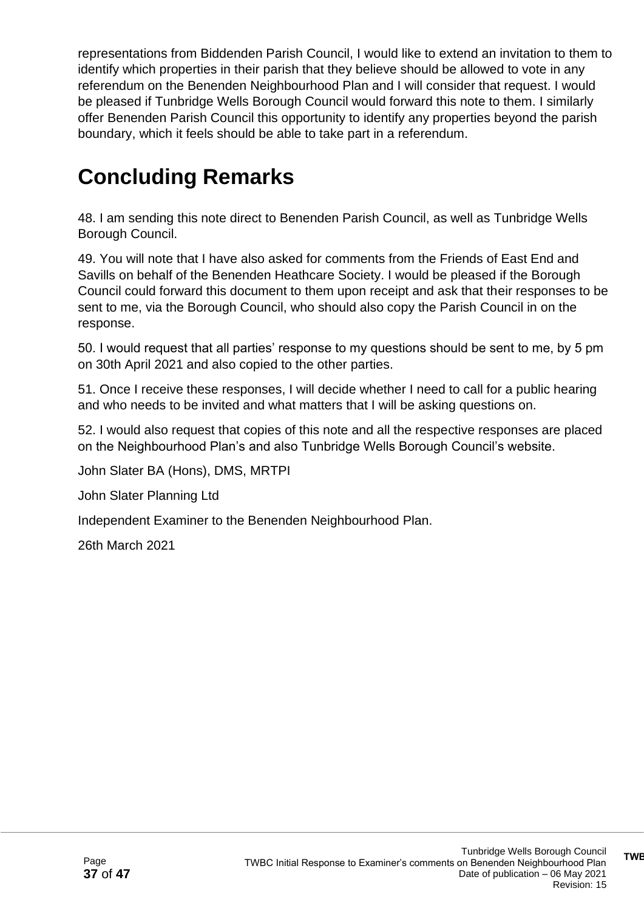representations from Biddenden Parish Council, I would like to extend an invitation to them to identify which properties in their parish that they believe should be allowed to vote in any referendum on the Benenden Neighbourhood Plan and I will consider that request. I would be pleased if Tunbridge Wells Borough Council would forward this note to them. I similarly offer Benenden Parish Council this opportunity to identify any properties beyond the parish boundary, which it feels should be able to take part in a referendum.

# **Concluding Remarks**

48. I am sending this note direct to Benenden Parish Council, as well as Tunbridge Wells Borough Council.

49. You will note that I have also asked for comments from the Friends of East End and Savills on behalf of the Benenden Heathcare Society. I would be pleased if the Borough Council could forward this document to them upon receipt and ask that their responses to be sent to me, via the Borough Council, who should also copy the Parish Council in on the response.

50. I would request that all parties' response to my questions should be sent to me, by 5 pm on 30th April 2021 and also copied to the other parties.

51. Once I receive these responses, I will decide whether I need to call for a public hearing and who needs to be invited and what matters that I will be asking questions on.

52. I would also request that copies of this note and all the respective responses are placed on the Neighbourhood Plan's and also Tunbridge Wells Borough Council's website.

John Slater BA (Hons), DMS, MRTPI

John Slater Planning Ltd

Independent Examiner to the Benenden Neighbourhood Plan.

26th March 2021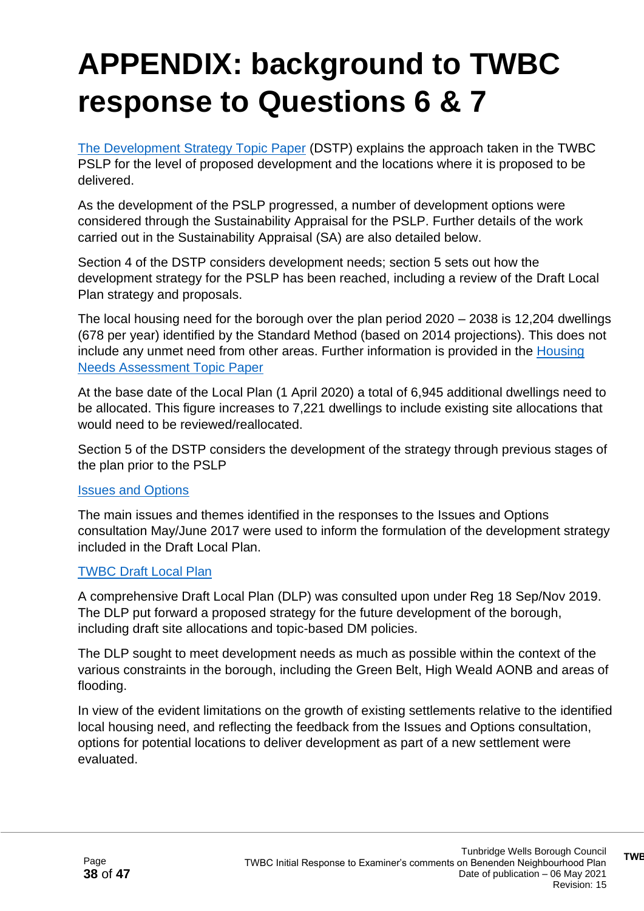# **APPENDIX: background to TWBC response to Questions 6 & 7**

[The Development Strategy Topic Paper](https://tunbridgewells.gov.uk/__data/assets/pdf_file/0008/388016/Development-Strategy-Topic-Paper.pdf) (DSTP) explains the approach taken in the TWBC PSLP for the level of proposed development and the locations where it is proposed to be delivered.

As the development of the PSLP progressed, a number of development options were considered through the Sustainability Appraisal for the PSLP. Further details of the work carried out in the Sustainability Appraisal (SA) are also detailed below.

Section 4 of the DSTP considers development needs; section 5 sets out how the development strategy for the PSLP has been reached, including a review of the Draft Local Plan strategy and proposals.

The local housing need for the borough over the plan period 2020 – 2038 is 12,204 dwellings (678 per year) identified by the Standard Method (based on 2014 projections). This does not include any unmet need from other areas. Further information is provided in the [Housing](https://tunbridgewells.gov.uk/__data/assets/pdf_file/0003/388092/Housing-Needs-Assessment-Topic-Paper.pdf)  [Needs Assessment Topic Paper](https://tunbridgewells.gov.uk/__data/assets/pdf_file/0003/388092/Housing-Needs-Assessment-Topic-Paper.pdf)

At the base date of the Local Plan (1 April 2020) a total of 6,945 additional dwellings need to be allocated. This figure increases to 7,221 dwellings to include existing site allocations that would need to be reviewed/reallocated.

Section 5 of the DSTP considers the development of the strategy through previous stages of the plan prior to the PSLP

#### [Issues and Options](https://tunbridgewells.gov.uk/planning/planning-policy/local-plan/previous-stages/issues-and-options)

The main issues and themes identified in the responses to the Issues and Options consultation May/June 2017 were used to inform the formulation of the development strategy included in the Draft Local Plan.

#### [TWBC Draft Local Plan](https://tunbridgewells.gov.uk/planning/planning-policy/local-plan/previous-stages/draft-local-plan)

A comprehensive Draft Local Plan (DLP) was consulted upon under Reg 18 Sep/Nov 2019. The DLP put forward a proposed strategy for the future development of the borough, including draft site allocations and topic-based DM policies.

The DLP sought to meet development needs as much as possible within the context of the various constraints in the borough, including the Green Belt, High Weald AONB and areas of flooding.

In view of the evident limitations on the growth of existing settlements relative to the identified local housing need, and reflecting the feedback from the Issues and Options consultation, options for potential locations to deliver development as part of a new settlement were evaluated.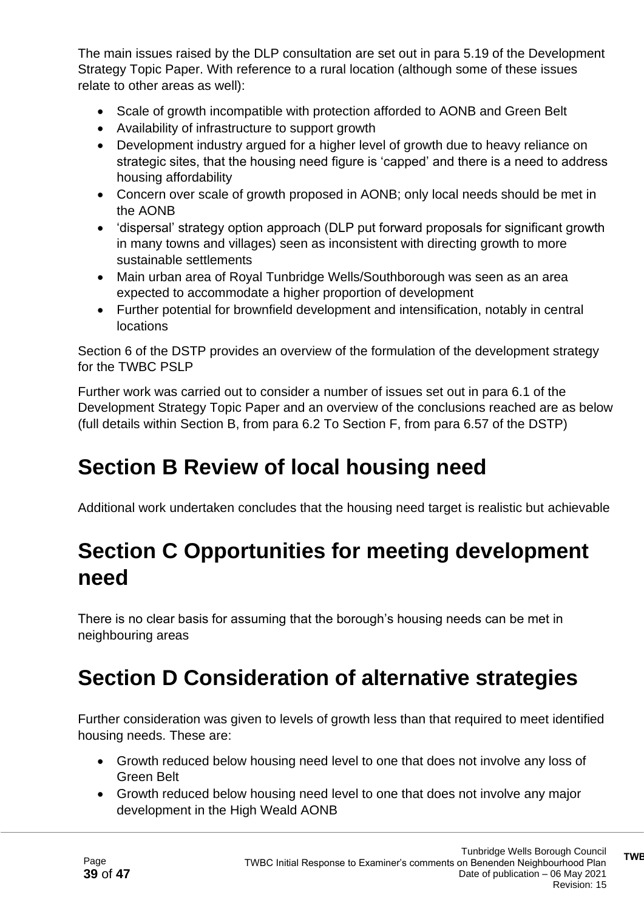The main issues raised by the DLP consultation are set out in para 5.19 of the Development Strategy Topic Paper. With reference to a rural location (although some of these issues relate to other areas as well):

- Scale of growth incompatible with protection afforded to AONB and Green Belt
- Availability of infrastructure to support growth
- Development industry argued for a higher level of growth due to heavy reliance on strategic sites, that the housing need figure is 'capped' and there is a need to address housing affordability
- Concern over scale of growth proposed in AONB; only local needs should be met in the AONB
- 'dispersal' strategy option approach (DLP put forward proposals for significant growth in many towns and villages) seen as inconsistent with directing growth to more sustainable settlements
- Main urban area of Royal Tunbridge Wells/Southborough was seen as an area expected to accommodate a higher proportion of development
- Further potential for brownfield development and intensification, notably in central locations

Section 6 of the DSTP provides an overview of the formulation of the development strategy for the TWBC PSLP

Further work was carried out to consider a number of issues set out in para 6.1 of the Development Strategy Topic Paper and an overview of the conclusions reached are as below (full details within Section B, from para 6.2 To Section F, from para 6.57 of the DSTP)

# **Section B Review of local housing need**

Additional work undertaken concludes that the housing need target is realistic but achievable

# **Section C Opportunities for meeting development need**

There is no clear basis for assuming that the borough's housing needs can be met in neighbouring areas

# **Section D Consideration of alternative strategies**

Further consideration was given to levels of growth less than that required to meet identified housing needs. These are:

- Growth reduced below housing need level to one that does not involve any loss of Green Belt
- Growth reduced below housing need level to one that does not involve any major development in the High Weald AONB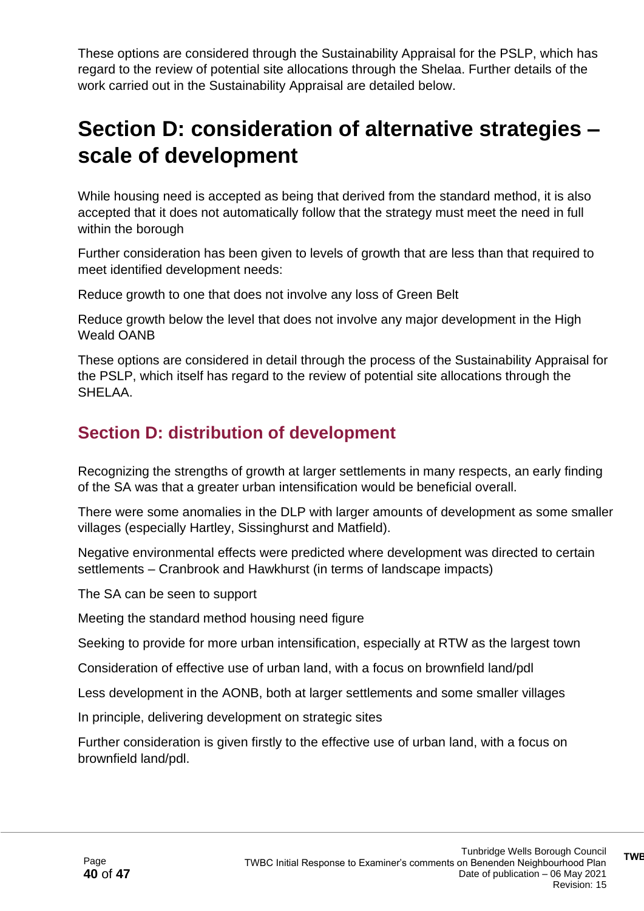These options are considered through the Sustainability Appraisal for the PSLP, which has regard to the review of potential site allocations through the Shelaa. Further details of the work carried out in the Sustainability Appraisal are detailed below.

### **Section D: consideration of alternative strategies – scale of development**

While housing need is accepted as being that derived from the standard method, it is also accepted that it does not automatically follow that the strategy must meet the need in full within the borough

Further consideration has been given to levels of growth that are less than that required to meet identified development needs:

Reduce growth to one that does not involve any loss of Green Belt

Reduce growth below the level that does not involve any major development in the High Weald OANB

These options are considered in detail through the process of the Sustainability Appraisal for the PSLP, which itself has regard to the review of potential site allocations through the SHELAA.

### **Section D: distribution of development**

Recognizing the strengths of growth at larger settlements in many respects, an early finding of the SA was that a greater urban intensification would be beneficial overall.

There were some anomalies in the DLP with larger amounts of development as some smaller villages (especially Hartley, Sissinghurst and Matfield).

Negative environmental effects were predicted where development was directed to certain settlements – Cranbrook and Hawkhurst (in terms of landscape impacts)

The SA can be seen to support

Meeting the standard method housing need figure

Seeking to provide for more urban intensification, especially at RTW as the largest town

Consideration of effective use of urban land, with a focus on brownfield land/pdl

Less development in the AONB, both at larger settlements and some smaller villages

In principle, delivering development on strategic sites

Further consideration is given firstly to the effective use of urban land, with a focus on brownfield land/pdl.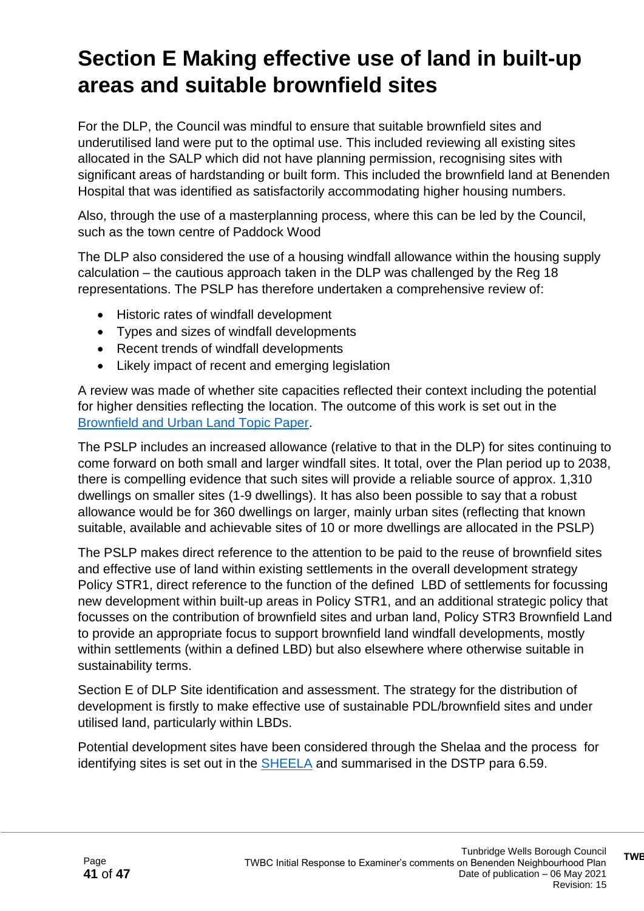# **Section E Making effective use of land in built-up areas and suitable brownfield sites**

For the DLP, the Council was mindful to ensure that suitable brownfield sites and underutilised land were put to the optimal use. This included reviewing all existing sites allocated in the SALP which did not have planning permission, recognising sites with significant areas of hardstanding or built form. This included the brownfield land at Benenden Hospital that was identified as satisfactorily accommodating higher housing numbers.

Also, through the use of a masterplanning process, where this can be led by the Council, such as the town centre of Paddock Wood

The DLP also considered the use of a housing windfall allowance within the housing supply calculation – the cautious approach taken in the DLP was challenged by the Reg 18 representations. The PSLP has therefore undertaken a comprehensive review of:

- Historic rates of windfall development
- Types and sizes of windfall developments
- Recent trends of windfall developments
- Likely impact of recent and emerging legislation

A review was made of whether site capacities reflected their context including the potential for higher densities reflecting the location. The outcome of this work is set out in the [Brownfield and Urban Land Topic Paper.](https://tunbridgewells.gov.uk/__data/assets/pdf_file/0020/388100/Brownfield-and-Urban-Land-Topic-Paper.pdf.)

The PSLP includes an increased allowance (relative to that in the DLP) for sites continuing to come forward on both small and larger windfall sites. It total, over the Plan period up to 2038, there is compelling evidence that such sites will provide a reliable source of approx. 1,310 dwellings on smaller sites (1-9 dwellings). It has also been possible to say that a robust allowance would be for 360 dwellings on larger, mainly urban sites (reflecting that known suitable, available and achievable sites of 10 or more dwellings are allocated in the PSLP)

The PSLP makes direct reference to the attention to be paid to the reuse of brownfield sites and effective use of land within existing settlements in the overall development strategy Policy STR1, direct reference to the function of the defined LBD of settlements for focussing new development within built-up areas in Policy STR1, and an additional strategic policy that focusses on the contribution of brownfield sites and urban land, Policy STR3 Brownfield Land to provide an appropriate focus to support brownfield land windfall developments, mostly within settlements (within a defined LBD) but also elsewhere where otherwise suitable in sustainability terms.

Section E of DLP Site identification and assessment. The strategy for the distribution of development is firstly to make effective use of sustainable PDL/brownfield sites and under utilised land, particularly within LBDs.

Potential development sites have been considered through the Shelaa and the process for identifying sites is set out in the [SHEELA](https://tunbridgewells.gov.uk/planning/planning-policy/local-plan/evidence/housing/shelaa) and summarised in the DSTP para 6.59.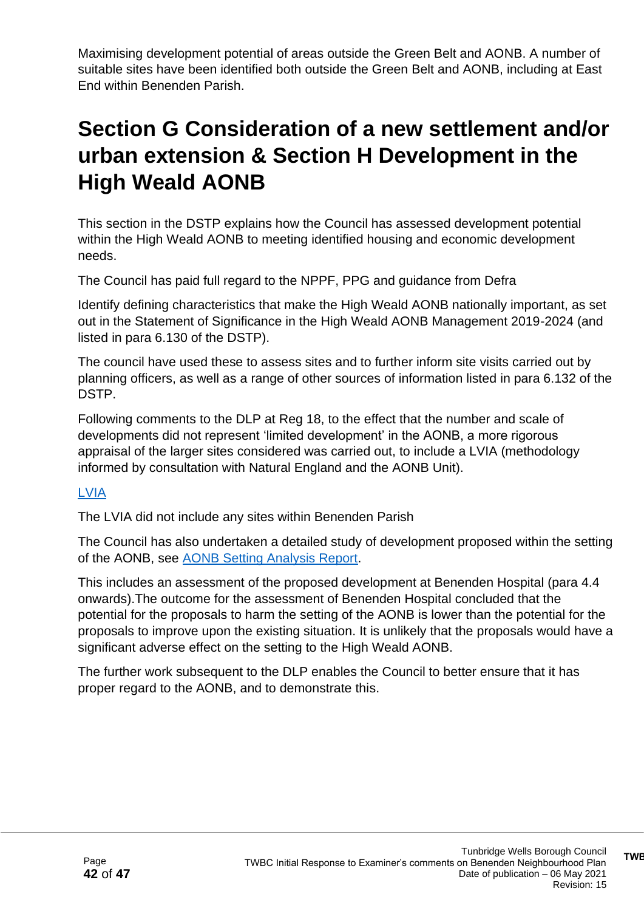Maximising development potential of areas outside the Green Belt and AONB. A number of suitable sites have been identified both outside the Green Belt and AONB, including at East End within Benenden Parish.

# **Section G Consideration of a new settlement and/or urban extension & Section H Development in the High Weald AONB**

This section in the DSTP explains how the Council has assessed development potential within the High Weald AONB to meeting identified housing and economic development needs.

The Council has paid full regard to the NPPF, PPG and guidance from Defra

Identify defining characteristics that make the High Weald AONB nationally important, as set out in the Statement of Significance in the High Weald AONB Management 2019-2024 (and listed in para 6.130 of the DSTP).

The council have used these to assess sites and to further inform site visits carried out by planning officers, as well as a range of other sources of information listed in para 6.132 of the DSTP.

Following comments to the DLP at Reg 18, to the effect that the number and scale of developments did not represent 'limited development' in the AONB, a more rigorous appraisal of the larger sites considered was carried out, to include a LVIA (methodology informed by consultation with Natural England and the AONB Unit).

#### [LVIA](https://tunbridgewells.gov.uk/planning/planning-policy/local-plan/evidence/environment-and-landscape/landscape-and-visual-impact-assessment-lvia)

The LVIA did not include any sites within Benenden Parish

The Council has also undertaken a detailed study of development proposed within the setting of the AONB, see [AONB Setting Analysis Report.](https://tunbridgewells.gov.uk/planning/planning-policy/local-plan/evidence/environment-and-landscape/aonb-setting-analysis-report)

This includes an assessment of the proposed development at Benenden Hospital (para 4.4 onwards).The outcome for the assessment of Benenden Hospital concluded that the potential for the proposals to harm the setting of the AONB is lower than the potential for the proposals to improve upon the existing situation. It is unlikely that the proposals would have a significant adverse effect on the setting to the High Weald AONB.

The further work subsequent to the DLP enables the Council to better ensure that it has proper regard to the AONB, and to demonstrate this.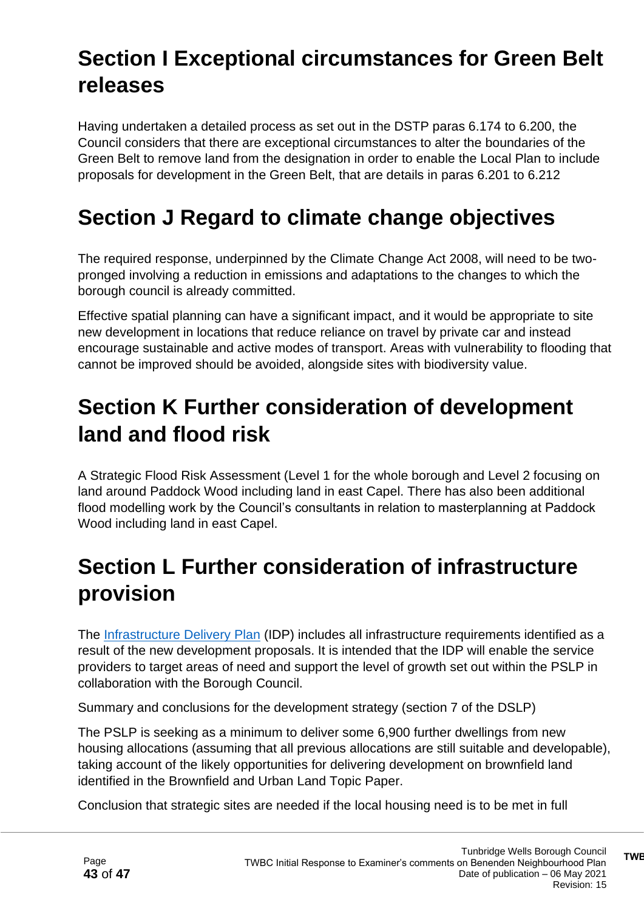# **Section I Exceptional circumstances for Green Belt releases**

Having undertaken a detailed process as set out in the DSTP paras 6.174 to 6.200, the Council considers that there are exceptional circumstances to alter the boundaries of the Green Belt to remove land from the designation in order to enable the Local Plan to include proposals for development in the Green Belt, that are details in paras 6.201 to 6.212

## **Section J Regard to climate change objectives**

The required response, underpinned by the Climate Change Act 2008, will need to be twopronged involving a reduction in emissions and adaptations to the changes to which the borough council is already committed.

Effective spatial planning can have a significant impact, and it would be appropriate to site new development in locations that reduce reliance on travel by private car and instead encourage sustainable and active modes of transport. Areas with vulnerability to flooding that cannot be improved should be avoided, alongside sites with biodiversity value.

### **Section K Further consideration of development land and flood risk**

A Strategic Flood Risk Assessment (Level 1 for the whole borough and Level 2 focusing on land around Paddock Wood including land in east Capel. There has also been additional flood modelling work by the Council's consultants in relation to masterplanning at Paddock Wood including land in east Capel.

# **Section L Further consideration of infrastructure provision**

The [Infrastructure Delivery Plan](https://tunbridgewells.gov.uk/__data/assets/pdf_file/0009/388026/Infrastructure-Delivery-Plan_2021.pdf) (IDP) includes all infrastructure requirements identified as a result of the new development proposals. It is intended that the IDP will enable the service providers to target areas of need and support the level of growth set out within the PSLP in collaboration with the Borough Council.

Summary and conclusions for the development strategy (section 7 of the DSLP)

The PSLP is seeking as a minimum to deliver some 6,900 further dwellings from new housing allocations (assuming that all previous allocations are still suitable and developable), taking account of the likely opportunities for delivering development on brownfield land identified in the Brownfield and Urban Land Topic Paper.

Conclusion that strategic sites are needed if the local housing need is to be met in full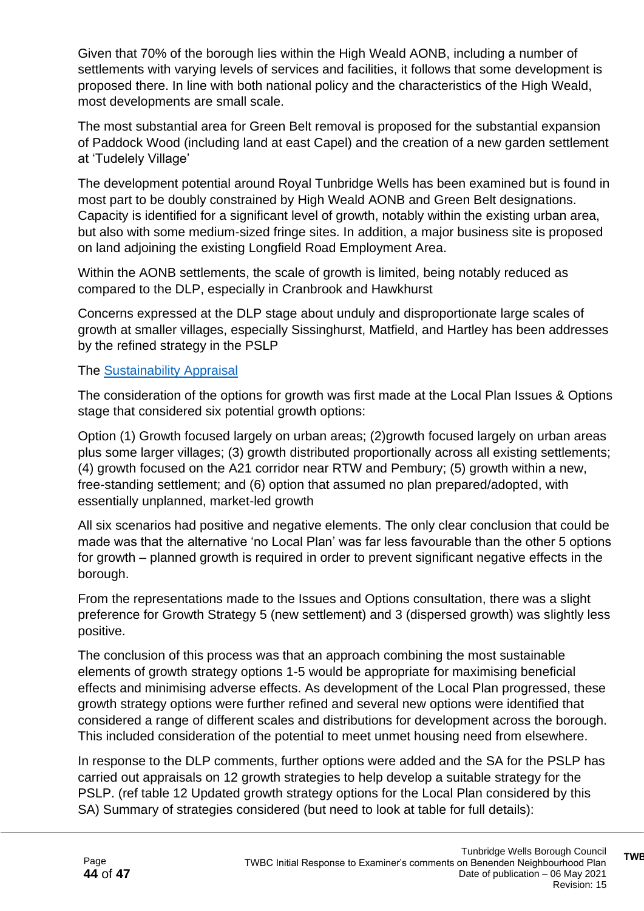Given that 70% of the borough lies within the High Weald AONB, including a number of settlements with varying levels of services and facilities, it follows that some development is proposed there. In line with both national policy and the characteristics of the High Weald, most developments are small scale.

The most substantial area for Green Belt removal is proposed for the substantial expansion of Paddock Wood (including land at east Capel) and the creation of a new garden settlement at 'Tudelely Village'

The development potential around Royal Tunbridge Wells has been examined but is found in most part to be doubly constrained by High Weald AONB and Green Belt designations. Capacity is identified for a significant level of growth, notably within the existing urban area, but also with some medium-sized fringe sites. In addition, a major business site is proposed on land adjoining the existing Longfield Road Employment Area.

Within the AONB settlements, the scale of growth is limited, being notably reduced as compared to the DLP, especially in Cranbrook and Hawkhurst

Concerns expressed at the DLP stage about unduly and disproportionate large scales of growth at smaller villages, especially Sissinghurst, Matfield, and Hartley has been addresses by the refined strategy in the PSLP

#### The [Sustainability Appraisal](https://tunbridgewells.gov.uk/__data/assets/pdf_file/0004/387796/Sustainability-Appraisal-for-PSLP-compressed.pdf)

The consideration of the options for growth was first made at the Local Plan Issues & Options stage that considered six potential growth options:

Option (1) Growth focused largely on urban areas: (2) growth focused largely on urban areas plus some larger villages; (3) growth distributed proportionally across all existing settlements; (4) growth focused on the A21 corridor near RTW and Pembury; (5) growth within a new, free-standing settlement; and (6) option that assumed no plan prepared/adopted, with essentially unplanned, market-led growth

All six scenarios had positive and negative elements. The only clear conclusion that could be made was that the alternative 'no Local Plan' was far less favourable than the other 5 options for growth – planned growth is required in order to prevent significant negative effects in the borough.

From the representations made to the Issues and Options consultation, there was a slight preference for Growth Strategy 5 (new settlement) and 3 (dispersed growth) was slightly less positive.

The conclusion of this process was that an approach combining the most sustainable elements of growth strategy options 1-5 would be appropriate for maximising beneficial effects and minimising adverse effects. As development of the Local Plan progressed, these growth strategy options were further refined and several new options were identified that considered a range of different scales and distributions for development across the borough. This included consideration of the potential to meet unmet housing need from elsewhere.

In response to the DLP comments, further options were added and the SA for the PSLP has carried out appraisals on 12 growth strategies to help develop a suitable strategy for the PSLP. (ref table 12 Updated growth strategy options for the Local Plan considered by this SA) Summary of strategies considered (but need to look at table for full details):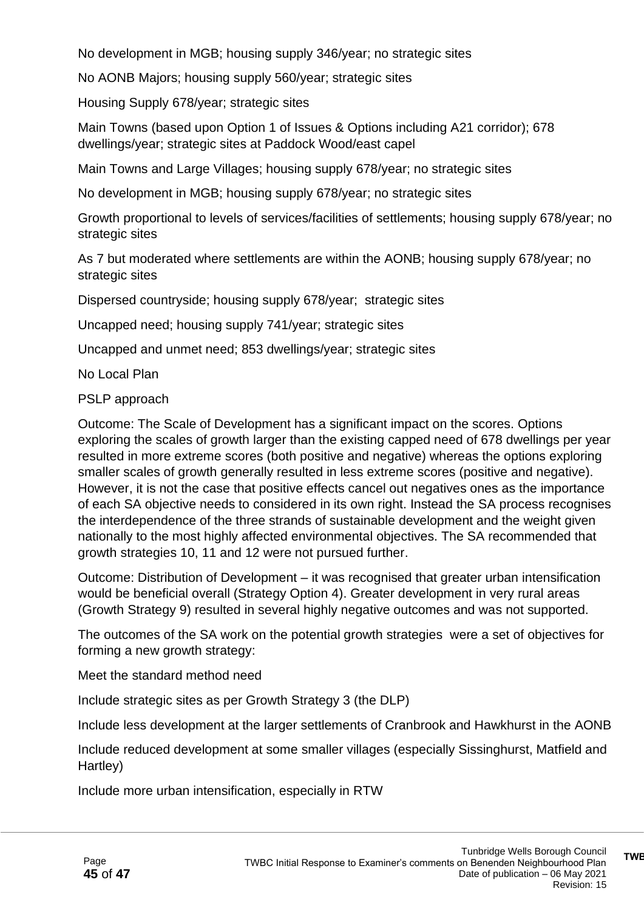No development in MGB; housing supply 346/year; no strategic sites

No AONB Majors; housing supply 560/year; strategic sites

Housing Supply 678/year; strategic sites

Main Towns (based upon Option 1 of Issues & Options including A21 corridor); 678 dwellings/year; strategic sites at Paddock Wood/east capel

Main Towns and Large Villages; housing supply 678/year; no strategic sites

No development in MGB; housing supply 678/year; no strategic sites

Growth proportional to levels of services/facilities of settlements; housing supply 678/year; no strategic sites

As 7 but moderated where settlements are within the AONB; housing supply 678/year; no strategic sites

Dispersed countryside; housing supply 678/year; strategic sites

Uncapped need; housing supply 741/year; strategic sites

Uncapped and unmet need; 853 dwellings/year; strategic sites

No Local Plan

PSLP approach

Outcome: The Scale of Development has a significant impact on the scores. Options exploring the scales of growth larger than the existing capped need of 678 dwellings per year resulted in more extreme scores (both positive and negative) whereas the options exploring smaller scales of growth generally resulted in less extreme scores (positive and negative). However, it is not the case that positive effects cancel out negatives ones as the importance of each SA objective needs to considered in its own right. Instead the SA process recognises the interdependence of the three strands of sustainable development and the weight given nationally to the most highly affected environmental objectives. The SA recommended that growth strategies 10, 11 and 12 were not pursued further.

Outcome: Distribution of Development – it was recognised that greater urban intensification would be beneficial overall (Strategy Option 4). Greater development in very rural areas (Growth Strategy 9) resulted in several highly negative outcomes and was not supported.

The outcomes of the SA work on the potential growth strategies were a set of objectives for forming a new growth strategy:

Meet the standard method need

Include strategic sites as per Growth Strategy 3 (the DLP)

Include less development at the larger settlements of Cranbrook and Hawkhurst in the AONB

Include reduced development at some smaller villages (especially Sissinghurst, Matfield and Hartley)

Include more urban intensification, especially in RTW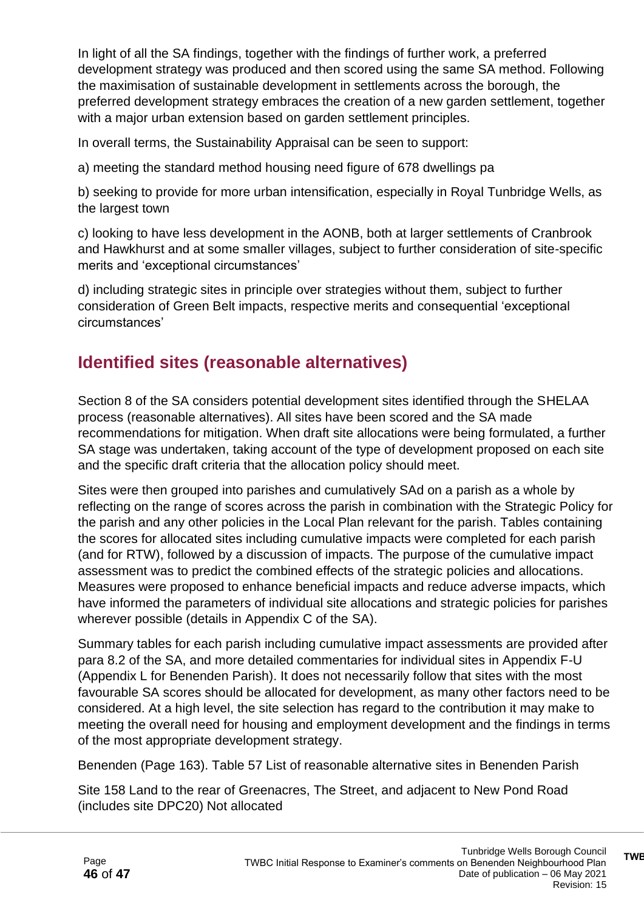In light of all the SA findings, together with the findings of further work, a preferred development strategy was produced and then scored using the same SA method. Following the maximisation of sustainable development in settlements across the borough, the preferred development strategy embraces the creation of a new garden settlement, together with a major urban extension based on garden settlement principles.

In overall terms, the Sustainability Appraisal can be seen to support:

a) meeting the standard method housing need figure of 678 dwellings pa

b) seeking to provide for more urban intensification, especially in Royal Tunbridge Wells, as the largest town

c) looking to have less development in the AONB, both at larger settlements of Cranbrook and Hawkhurst and at some smaller villages, subject to further consideration of site-specific merits and 'exceptional circumstances'

d) including strategic sites in principle over strategies without them, subject to further consideration of Green Belt impacts, respective merits and consequential 'exceptional circumstances'

### **Identified sites (reasonable alternatives)**

Section 8 of the SA considers potential development sites identified through the SHELAA process (reasonable alternatives). All sites have been scored and the SA made recommendations for mitigation. When draft site allocations were being formulated, a further SA stage was undertaken, taking account of the type of development proposed on each site and the specific draft criteria that the allocation policy should meet.

Sites were then grouped into parishes and cumulatively SAd on a parish as a whole by reflecting on the range of scores across the parish in combination with the Strategic Policy for the parish and any other policies in the Local Plan relevant for the parish. Tables containing the scores for allocated sites including cumulative impacts were completed for each parish (and for RTW), followed by a discussion of impacts. The purpose of the cumulative impact assessment was to predict the combined effects of the strategic policies and allocations. Measures were proposed to enhance beneficial impacts and reduce adverse impacts, which have informed the parameters of individual site allocations and strategic policies for parishes wherever possible (details in Appendix C of the SA).

Summary tables for each parish including cumulative impact assessments are provided after para 8.2 of the SA, and more detailed commentaries for individual sites in Appendix F-U (Appendix L for Benenden Parish). It does not necessarily follow that sites with the most favourable SA scores should be allocated for development, as many other factors need to be considered. At a high level, the site selection has regard to the contribution it may make to meeting the overall need for housing and employment development and the findings in terms of the most appropriate development strategy.

Benenden (Page 163). Table 57 List of reasonable alternative sites in Benenden Parish

Site 158 Land to the rear of Greenacres, The Street, and adjacent to New Pond Road (includes site DPC20) Not allocated